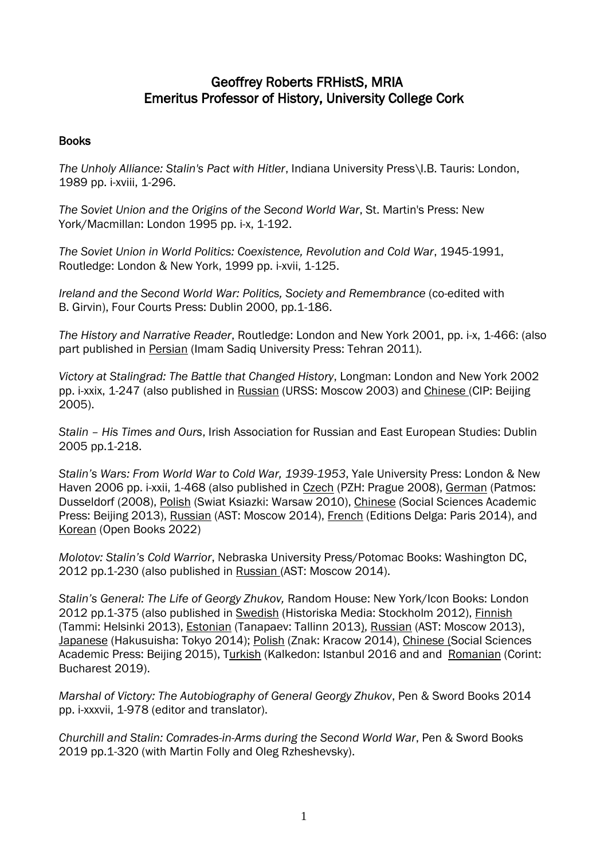# Geoffrey Roberts FRHistS, MRIA Emeritus Professor of History, University College Cork

# Books

*The Unholy Alliance: Stalin's Pact with Hitler*, Indiana University Press\I.B. Tauris: London, 1989 pp. i-xviii, 1-296.

*The Soviet Union and the Origins of the Second World War*, St. Martin's Press: New York/Macmillan: London 1995 pp. i-x, 1-192.

*The Soviet Union in World Politics: Coexistence, Revolution and Cold War*, 1945-1991, Routledge: London & New York, 1999 pp. i-xvii, 1-125.

*Ireland and the Second World War: Politics, Society and Remembrance* (co-edited with B. Girvin), Four Courts Press: Dublin 2000, pp.1-186.

*The History and Narrative Reader*, Routledge: London and New York 2001, pp. i-x, 1-466: (also part published in Persian (Imam Sadiq University Press: Tehran 2011).

*Victory at Stalingrad: The Battle that Changed History*, Longman: London and New York 2002 pp. i-xxix, 1-247 (also published in Russian (URSS: Moscow 2003) and Chinese (CIP: Beijing 2005).

*Stalin – His Times and Ours*, Irish Association for Russian and East European Studies: Dublin 2005 pp.1-218.

*Stalin's Wars: From World War to Cold War, 1939-1953*, Yale University Press: London & New Haven 2006 pp. i-xxii, 1-468 (also published in Czech (PZH: Prague 2008), German (Patmos: Dusseldorf (2008), Polish (Swiat Ksiazki: Warsaw 2010), Chinese (Social Sciences Academic Press: Beijing 2013), Russian (AST: Moscow 2014), French (Editions Delga: Paris 2014), and Korean (Open Books 2022)

*Molotov: Stalin's Cold Warrior*, Nebraska University Press/Potomac Books: Washington DC, 2012 pp.1-230 (also published in Russian (AST: Moscow 2014).

*Stalin's General: The Life of Georgy Zhukov,* Random House: New York/Icon Books: London 2012 pp.1-375 (also published in Swedish (Historiska Media: Stockholm 2012), Finnish (Tammi: Helsinki 2013), Estonian (Tanapaev: Tallinn 2013), Russian (AST: Moscow 2013), Japanese (Hakusuisha: Tokyo 2014); Polish (Znak: Kracow 2014), Chinese (Social Sciences Academic Press: Beijing 2015), Turkish (Kalkedon: Istanbul 2016 and and Romanian (Corint: Bucharest 2019).

*Marshal of Victory: The Autobiography of General Georgy Zhukov*, Pen & Sword Books 2014 pp. i-xxxvii, 1-978 (editor and translator).

*Churchill and Stalin: Comrades-in-Arms during the Second World War*, Pen & Sword Books 2019 pp.1-320 (with Martin Folly and Oleg Rzheshevsky).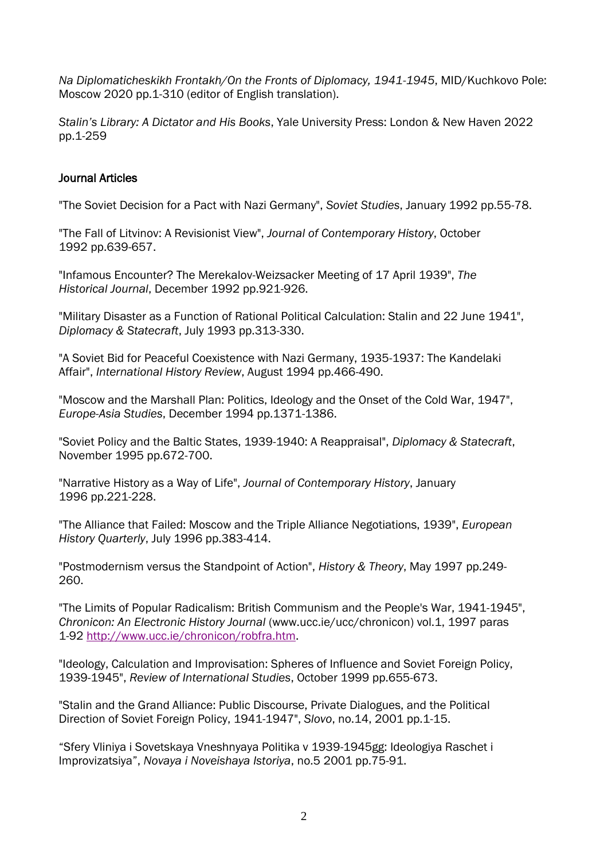*Na Diplomaticheskikh Frontakh/On the Fronts of Diplomacy, 1941-1945*, MID/Kuchkovo Pole: Moscow 2020 pp.1-310 (editor of English translation).

*Stalin's Library: A Dictator and His Books*, Yale University Press: London & New Haven 2022 pp.1-259

## Journal Articles

"The Soviet Decision for a Pact with Nazi Germany", *Soviet Studies*, January 1992 pp.55-78.

"The Fall of Litvinov: A Revisionist View", *Journal of Contemporary History*, October 1992 pp.639-657.

"Infamous Encounter? The Merekalov-Weizsacker Meeting of 17 April 1939", *The Historical Journal*, December 1992 pp.921-926.

"Military Disaster as a Function of Rational Political Calculation: Stalin and 22 June 1941", *Diplomacy & Statecraft*, July 1993 pp.313-330.

"A Soviet Bid for Peaceful Coexistence with Nazi Germany, 1935-1937: The Kandelaki Affair", *International History Review*, August 1994 pp.466-490.

"Moscow and the Marshall Plan: Politics, Ideology and the Onset of the Cold War, 1947", *Europe-Asia Studies*, December 1994 pp.1371-1386.

"Soviet Policy and the Baltic States, 1939-1940: A Reappraisal", *Diplomacy & Statecraft*, November 1995 pp.672-700.

"Narrative History as a Way of Life", *Journal of Contemporary History*, January 1996 pp.221-228.

"The Alliance that Failed: Moscow and the Triple Alliance Negotiations, 1939", *European History Quarterly*, July 1996 pp.383-414.

"Postmodernism versus the Standpoint of Action", *History & Theory*, May 1997 pp.249- 260.

"The Limits of Popular Radicalism: British Communism and the People's War, 1941-1945", *Chronicon: An Electronic History Journal* (www.ucc.ie/ucc/chronicon) vol.1, 1997 paras 1-92 [http://www.ucc.ie/chronicon/robfra.htm.](http://www.ucc.ie/chronicon/robfra.htm)

"Ideology, Calculation and Improvisation: Spheres of Influence and Soviet Foreign Policy, 1939-1945", *Review of International Studies*, October 1999 pp.655-673.

"Stalin and the Grand Alliance: Public Discourse, Private Dialogues, and the Political Direction of Soviet Foreign Policy, 1941-1947", *Slovo*, no.14, 2001 pp.1-15.

"Sfery Vliniya i Sovetskaya Vneshnyaya Politika v 1939-1945gg: Ideologiya Raschet i Improvizatsiya", *Novaya i Noveishaya Istoriya*, no.5 2001 pp.75-91.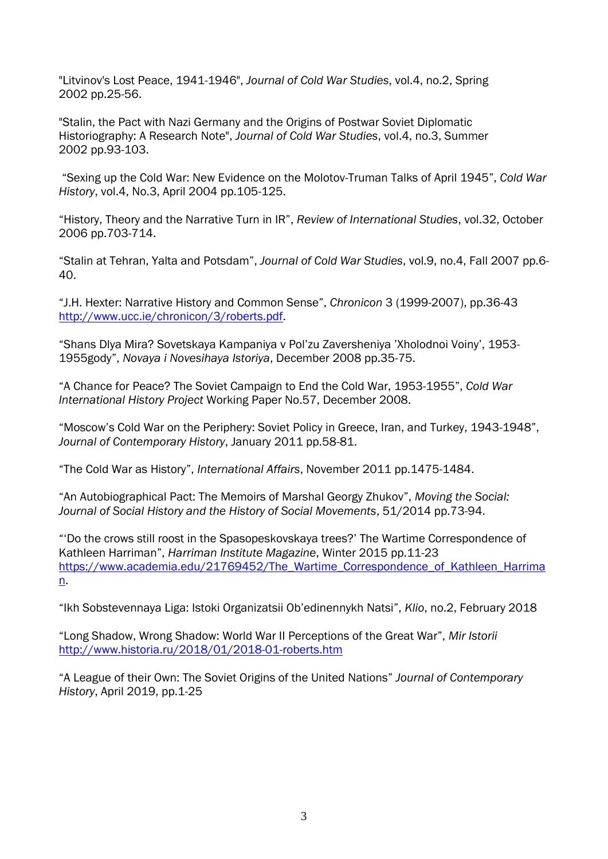"Litvinov's Lost Peace, 1941-1946", *Journal of Cold War Studies*, vol.4, no.2, Spring 2002 pp.25-56.

"Stalin, the Pact with Nazi Germany and the Origins of Postwar Soviet Diplomatic Historiography: A Research Note", *Journal of Cold War Studies*, vol.4, no.3, Summer 2002 pp.93-103.

"Sexing up the Cold War: New Evidence on the Molotov-Truman Talks of April 1945", *Cold War History*, vol.4, No.3, April 2004 pp.105-125.

"History, Theory and the Narrative Turn in IR", *Review of International Studies*, vol.32, October 2006 pp.703-714.

"Stalin at Tehran, Yalta and Potsdam", *Journal of Cold War Studies*, vol.9, no.4, Fall 2007 pp.6- 40.

"J.H. Hexter: Narrative History and Common Sense", *Chronicon* 3 (1999-2007), pp.36-43 [http://www.ucc.ie/chronicon/3/roberts.pdf.](http://www.ucc.ie/chronicon/3/roberts.pdf)

"Shans Dlya Mira? Sovetskaya Kampaniya v Pol'zu Zaversheniya 'Xholodnoi Voiny', 1953- 1955gody", *Novaya i Novesihaya Istoriya*, December 2008 pp.35-75.

"A Chance for Peace? The Soviet Campaign to End the Cold War, 1953-1955", *Cold War International History Project* Working Paper No.57, December 2008.

"Moscow's Cold War on the Periphery: Soviet Policy in Greece, Iran, and Turkey, 1943-1948", *Journal of Contemporary History*, January 2011 pp.58-81.

"The Cold War as History", *International Affairs*, November 2011 pp.1475-1484.

"An Autobiographical Pact: The Memoirs of Marshal Georgy Zhukov", *Moving the Social: Journal of Social History and the History of Social Movements*, 51/2014 pp.73-94.

"'Do the crows still roost in the Spasopeskovskaya trees?' The Wartime Correspondence of Kathleen Harriman", *Harriman Institute Magazine*, Winter 2015 pp.11-23 https://www.academia.edu/21769452/The Wartime Correspondence of Kathleen Harrima [n.](https://www.academia.edu/21769452/The_Wartime_Correspondence_of_Kathleen_Harriman)

"Ikh Sobstevennaya Liga: Istoki Organizatsii Ob'edinennykh Natsi", *Klio*, no.2, February 2018

"Long Shadow, Wrong Shadow: World War II Perceptions of the Great War", *Mir Istorii* <http://www.historia.ru/2018/01/2018-01-roberts.htm>

"A League of their Own: The Soviet Origins of the United Nations" *Journal of Contemporary History*, April 2019, pp.1-25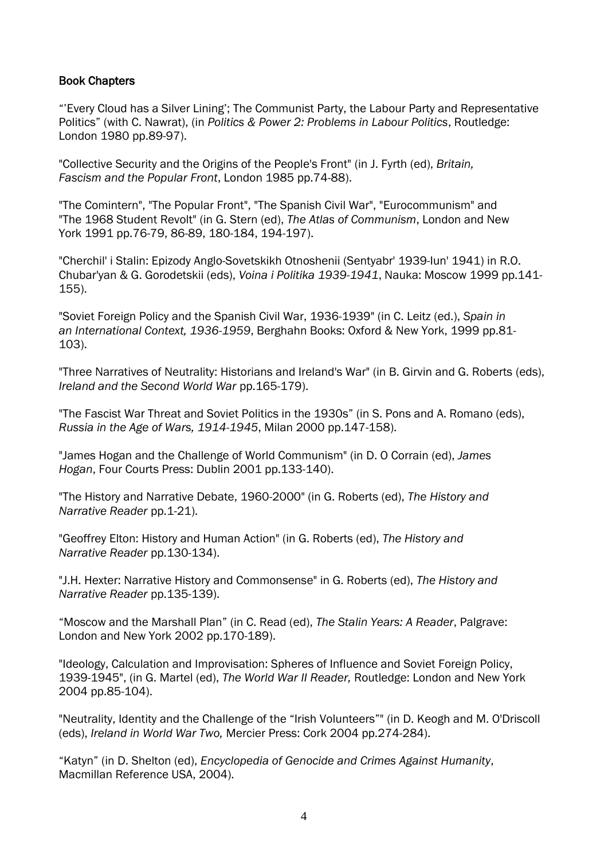## Book Chapters

"'Every Cloud has a Silver Lining'; The Communist Party, the Labour Party and Representative Politics" (with C. Nawrat), (in *Politics & Power 2: Problems in Labour Politics*, Routledge: London 1980 pp.89-97).

"Collective Security and the Origins of the People's Front" (in J. Fyrth (ed), *Britain, Fascism and the Popular Front*, London 1985 pp.74-88).

"The Comintern", "The Popular Front", "The Spanish Civil War", "Eurocommunism" and "The 1968 Student Revolt" (in G. Stern (ed), *The Atlas of Communism*, London and New York 1991 pp.76-79, 86-89, 180-184, 194-197).

"Cherchil' i Stalin: Epizody Anglo-Sovetskikh Otnoshenii (Sentyabr' 1939-Iun' 1941) in R.O. Chubar'yan & G. Gorodetskii (eds), *Voina i Politika 1939-1941*, Nauka: Moscow 1999 pp.141- 155).

"Soviet Foreign Policy and the Spanish Civil War, 1936-1939" (in C. Leitz (ed.), *Spain in an International Context, 1936-1959*, Berghahn Books: Oxford & New York, 1999 pp.81- 103).

"Three Narratives of Neutrality: Historians and Ireland's War" (in B. Girvin and G. Roberts (eds), *Ireland and the Second World War* pp.165-179).

"The Fascist War Threat and Soviet Politics in the 1930s" (in S. Pons and A. Romano (eds), *Russia in the Age of Wars, 1914-1945*, Milan 2000 pp.147-158).

"James Hogan and the Challenge of World Communism" (in D. O Corrain (ed), *James Hogan*, Four Courts Press: Dublin 2001 pp.133-140).

"The History and Narrative Debate, 1960-2000" (in G. Roberts (ed), *The History and Narrative Reader* pp.1-21).

"Geoffrey Elton: History and Human Action" (in G. Roberts (ed), *The History and Narrative Reader* pp.130-134).

"J.H. Hexter: Narrative History and Commonsense" in G. Roberts (ed), *The History and Narrative Reader* pp.135-139).

"Moscow and the Marshall Plan" (in C. Read (ed), *The Stalin Years: A Reader*, Palgrave: London and New York 2002 pp.170-189).

"Ideology, Calculation and Improvisation: Spheres of Influence and Soviet Foreign Policy, 1939-1945", (in G. Martel (ed), *The World War II Reader,* Routledge: London and New York 2004 pp.85-104).

"Neutrality, Identity and the Challenge of the "Irish Volunteers"" (in D. Keogh and M. O'Driscoll (eds), *Ireland in World War Two,* Mercier Press: Cork 2004 pp.274-284).

"Katyn" (in D. Shelton (ed), *Encyclopedia of Genocide and Crimes Against Humanity*, Macmillan Reference USA, 2004).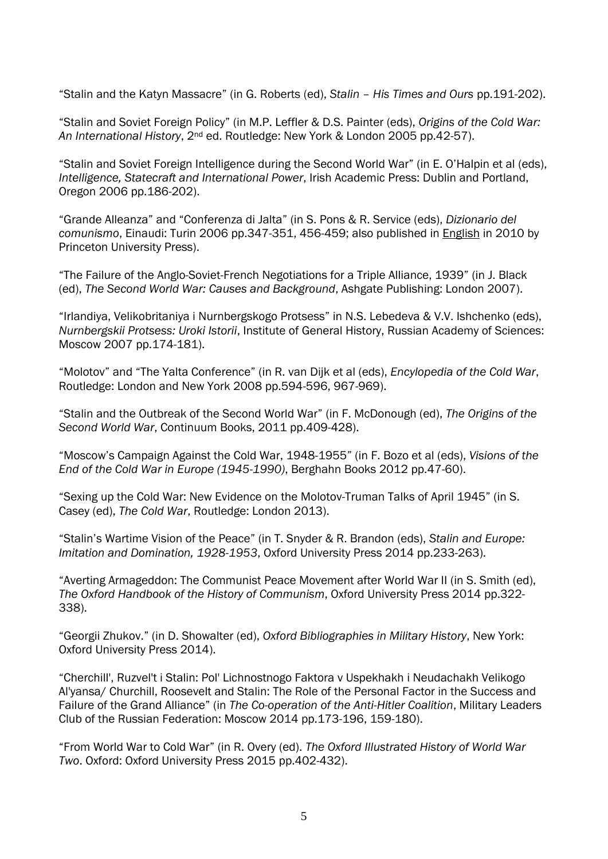"Stalin and the Katyn Massacre" (in G. Roberts (ed), *Stalin – His Times and Ours* pp.191-202).

"Stalin and Soviet Foreign Policy" (in M.P. Leffler & D.S. Painter (eds), *Origins of the Cold War: An International History*, 2nd ed. Routledge: New York & London 2005 pp.42-57).

"Stalin and Soviet Foreign Intelligence during the Second World War" (in E. O'Halpin et al (eds), *Intelligence, Statecraft and International Power*, Irish Academic Press: Dublin and Portland, Oregon 2006 pp.186-202).

"Grande Alleanza" and "Conferenza di Jalta" (in S. Pons & R. Service (eds), *Dizionario del comunismo*, Einaudi: Turin 2006 pp.347-351, 456-459; also published in English in 2010 by Princeton University Press).

"The Failure of the Anglo-Soviet-French Negotiations for a Triple Alliance, 1939" (in J. Black (ed), *The Second World War: Causes and Background*, Ashgate Publishing: London 2007).

"Irlandiya, Velikobritaniya i Nurnbergskogo Protsess" in N.S. Lebedeva & V.V. Ishchenko (eds), *Nurnbergskii Protsess: Uroki Istorii*, Institute of General History, Russian Academy of Sciences: Moscow 2007 pp.174-181).

"Molotov" and "The Yalta Conference" (in R. van Dijk et al (eds), *Encylopedia of the Cold War*, Routledge: London and New York 2008 pp.594-596, 967-969).

"Stalin and the Outbreak of the Second World War" (in F. McDonough (ed), *The Origins of the Second World War*, Continuum Books, 2011 pp.409-428).

"Moscow's Campaign Against the Cold War, 1948-1955" (in F. Bozo et al (eds), *Visions of the End of the Cold War in Europe (1945-1990)*, Berghahn Books 2012 pp.47-60).

"Sexing up the Cold War: New Evidence on the Molotov-Truman Talks of April 1945" (in S. Casey (ed), *The Cold War*, Routledge: London 2013).

"Stalin's Wartime Vision of the Peace" (in T. Snyder & R. Brandon (eds), *Stalin and Europe: Imitation and Domination, 1928-1953*, Oxford University Press 2014 pp.233-263).

"Averting Armageddon: The Communist Peace Movement after World War II (in S. Smith (ed), *The Oxford Handbook of the History of Communism*, Oxford University Press 2014 pp.322- 338).

"Georgii Zhukov." (in D. Showalter (ed), *Oxford Bibliographies in Military History*, New York: Oxford University Press 2014).

"Cherchill', Ruzvel't i Stalin: Pol' Lichnostnogo Faktora v Uspekhakh i Neudachakh Velikogo Al'yansa/ Churchill, Roosevelt and Stalin: The Role of the Personal Factor in the Success and Failure of the Grand Alliance" (in *The Co-operation of the Anti-Hitler Coalition*, Military Leaders Club of the Russian Federation: Moscow 2014 pp.173-196, 159-180).

"From World War to Cold War" (in R. Overy (ed). *The Oxford Illustrated History of World War Two*. Oxford: Oxford University Press 2015 pp.402-432).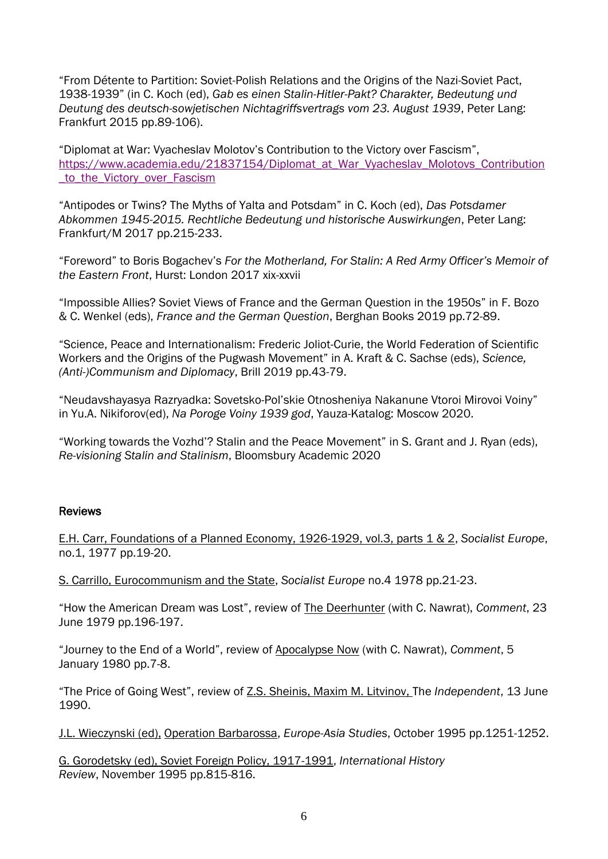"From Détente to Partition: Soviet-Polish Relations and the Origins of the Nazi-Soviet Pact, 1938-1939" (in C. Koch (ed), *Gab es einen Stalin-Hitler-Pakt? Charakter, Bedeutung und Deutung des deutsch-sowjetischen Nichtagriffsvertrags vom 23. August 1939*, Peter Lang: Frankfurt 2015 pp.89-106).

"Diplomat at War: Vyacheslav Molotov's Contribution to the Victory over Fascism", https://www.academia.edu/21837154/Diplomat at War Vyacheslav Molotovs Contribution to the Victory over Fascism

"Antipodes or Twins? The Myths of Yalta and Potsdam" in C. Koch (ed), *Das Potsdamer Abkommen 1945-2015. Rechtliche Bedeutung und historische Auswirkungen*, Peter Lang: Frankfurt/M 2017 pp.215-233.

"Foreword" to Boris Bogachev's *For the Motherland, For Stalin: A Red Army Officer's Memoir of the Eastern Front*, Hurst: London 2017 xix-xxvii

"Impossible Allies? Soviet Views of France and the German Question in the 1950s" in F. Bozo & C. Wenkel (eds), *France and the German Question*, Berghan Books 2019 pp.72-89.

"Science, Peace and Internationalism: Frederic Joliot-Curie, the World Federation of Scientific Workers and the Origins of the Pugwash Movement" in A. Kraft & C. Sachse (eds), *Science, (Anti-)Communism and Diplomacy*, Brill 2019 pp.43-79.

"Neudavshayasya Razryadka: Sovetsko-Pol'skie Otnosheniya Nakanune Vtoroi Mirovoi Voiny" in Yu.A. Nikiforov(ed), *Na Poroge Voiny 1939 god*, Yauza-Katalog: Moscow 2020.

"Working towards the Vozhd'? Stalin and the Peace Movement" in S. Grant and J. Ryan (eds), *Re-visioning Stalin and Stalinism*, Bloomsbury Academic 2020

#### Reviews

E.H. Carr, Foundations of a Planned Economy, 1926-1929, vol.3, parts 1 & 2, *Socialist Europe*, no.1, 1977 pp.19-20.

S. Carrillo, Eurocommunism and the State, *Socialist Europe* no.4 1978 pp.21-23.

"How the American Dream was Lost", review of The Deerhunter (with C. Nawrat), *Comment*, 23 June 1979 pp.196-197.

"Journey to the End of a World", review of Apocalypse Now (with C. Nawrat), *Comment*, 5 January 1980 pp.7-8.

"The Price of Going West", review of Z.S. Sheinis, Maxim M. Litvinov, The *Independent*, 13 June 1990.

J.L. Wieczynski (ed), Operation Barbarossa, *Europe-Asia Studies*, October 1995 pp.1251-1252.

G. Gorodetsky (ed), Soviet Foreign Policy, 1917-1991, *International History Review*, November 1995 pp.815-816.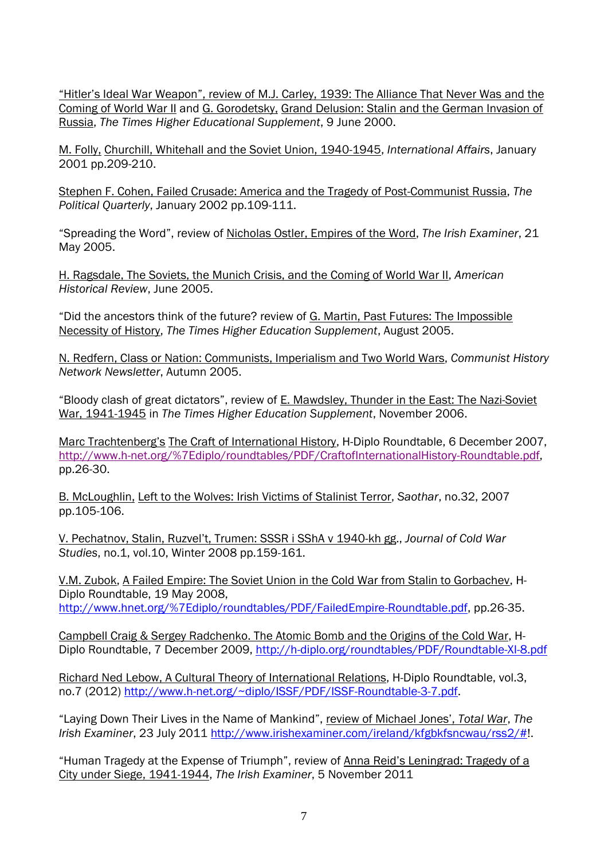"Hitler's Ideal War Weapon", review of M.J. Carley, 1939: The Alliance That Never Was and the Coming of World War II and G. Gorodetsky, Grand Delusion: Stalin and the German Invasion of Russia, *The Times Higher Educational Supplement*, 9 June 2000.

M. Folly, Churchill, Whitehall and the Soviet Union, 1940-1945, *International Affairs*, January 2001 pp.209-210.

Stephen F. Cohen, Failed Crusade: America and the Tragedy of Post-Communist Russia, *The Political Quarterly*, January 2002 pp.109-111.

"Spreading the Word", review of Nicholas Ostler, Empires of the Word, *The Irish Examiner*, 21 May 2005.

H. Ragsdale, The Soviets, the Munich Crisis, and the Coming of World War II, *American Historical Review*, June 2005.

"Did the ancestors think of the future? review of G. Martin, Past Futures: The Impossible Necessity of History, *The Times Higher Education Supplement*, August 2005.

N. Redfern, Class or Nation: Communists, Imperialism and Two World Wars, *Communist History Network Newsletter*, Autumn 2005.

"Bloody clash of great dictators", review of E. Mawdsley, Thunder in the East: The Nazi-Soviet War, 1941-1945 in *The Times Higher Education Supplement*, November 2006.

Marc Trachtenberg's The Craft of International History, H-Diplo Roundtable, 6 December 2007, [http://www.h-net.org/%7Ediplo/roundtables/PDF/CraftofInternationalHistory-Roundtable.pdf,](http://www.h-net.org/~diplo/roundtables/PDF/CraftofInternationalHistory-Roundtable.pdf) pp.26-30.

B. McLoughlin, Left to the Wolves: Irish Victims of Stalinist Terror, *Saothar*, no.32, 2007 pp.105-106.

V. Pechatnov, Stalin, Ruzvel't, Trumen: SSSR i SShA v 1940-kh gg., *Journal of Cold War Studies*, no.1, vol.10, Winter 2008 pp.159-161.

V.M. Zubok, A Failed Empire: The Soviet Union in the Cold War from Stalin to Gorbachev, H-Diplo Roundtable, 19 May 2008, [http://www.hnet.org/%7Ediplo/roundtables/PDF/FailedEmpire-Roundtable.pdf,](http://www.hnet.org/~diplo/roundtables/PDF/FailedEmpire-Roundtable.pdf) pp.26-35.

Campbell Craig & Sergey Radchenko. The Atomic Bomb and the Origins of the Cold War, H-Diplo Roundtable, 7 December 2009,<http://h-diplo.org/roundtables/PDF/Roundtable-XI-8.pdf>

Richard Ned Lebow, A Cultural Theory of International Relations, H-Diplo Roundtable, vol.3, no.7 (2012) [http://www.h-net.org/~diplo/ISSF/PDF/ISSF-Roundtable-3-7.pdf.](http://www.h-net.org/~diplo/ISSF/PDF/ISSF-Roundtable-3-7.pdf)

"Laying Down Their Lives in the Name of Mankind", review of Michael Jones', *Total War*, *The Irish Examiner*, 23 July 2011 [http://www.irishexaminer.com/ireland/kfgbkfsncwau/rss2/#!](http://www.irishexaminer.com/ireland/kfgbkfsncwau/rss2/).

"Human Tragedy at the Expense of Triumph", review of Anna Reid's Leningrad: Tragedy of a City under Siege, 1941-1944, *The Irish Examiner*, 5 November 2011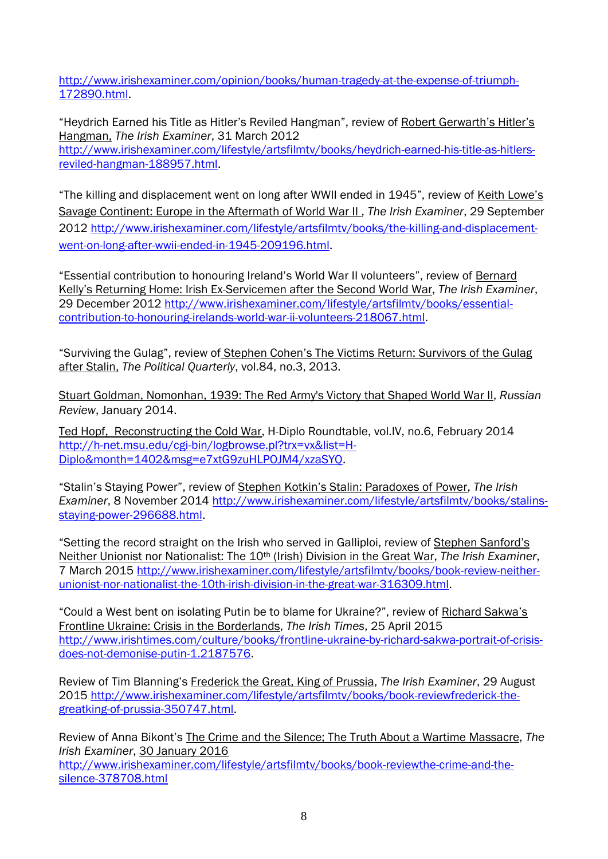[http://www.irishexaminer.com/opinion/books/human-tragedy-at-the-expense-of-triumph-](http://www.irishexaminer.com/opinion/books/human-tragedy-at-the-expense-of-triumph-172890.html)[172890.html.](http://www.irishexaminer.com/opinion/books/human-tragedy-at-the-expense-of-triumph-172890.html)

"Heydrich Earned his Title as Hitler's Reviled Hangman", review of Robert Gerwarth's Hitler's Hangman, *The Irish Examiner*, 31 March 2012 [http://www.irishexaminer.com/lifestyle/artsfilmtv/books/heydrich-earned-his-title-as-hitlers](http://www.irishexaminer.com/lifestyle/artsfilmtv/books/heydrich-earned-his-title-as-hitlers-reviled-hangman-188957.html)[reviled-hangman-188957.html.](http://www.irishexaminer.com/lifestyle/artsfilmtv/books/heydrich-earned-his-title-as-hitlers-reviled-hangman-188957.html)

"The killing and displacement went on long after WWII ended in 1945", review of Keith Lowe's Savage Continent: Europe in the Aftermath of World War II , *The Irish Examiner*, 29 September 2012 [http://www.irishexaminer.com/lifestyle/artsfilmtv/books/the-killing-and-displacement](http://www.irishexaminer.com/lifestyle/artsfilmtv/books/the-killing-and-displacement-went-on-long-after-wwii-ended-in-1945-209196.html)[went-on-long-after-wwii-ended-in-1945-209196.html.](http://www.irishexaminer.com/lifestyle/artsfilmtv/books/the-killing-and-displacement-went-on-long-after-wwii-ended-in-1945-209196.html)

"Essential contribution to honouring Ireland's World War II volunteers", review of Bernard Kelly's Returning Home: Irish Ex-Servicemen after the Second World War, *The Irish Examiner*, 29 December 2012 [http://www.irishexaminer.com/lifestyle/artsfilmtv/books/essential](http://www.irishexaminer.com/lifestyle/artsfilmtv/books/essential-contribution-to-honouring-irelands-world-war-ii-volunteers-218067.html)[contribution-to-honouring-irelands-world-war-ii-volunteers-218067.html.](http://www.irishexaminer.com/lifestyle/artsfilmtv/books/essential-contribution-to-honouring-irelands-world-war-ii-volunteers-218067.html)

"Surviving the Gulag", review of Stephen Cohen's The Victims Return: Survivors of the Gulag after Stalin, *The Political Quarterly*, vol.84, no.3, 2013.

Stuart Goldman, Nomonhan, 1939: The Red Army's Victory that Shaped World War II, *Russian Review*, January 2014.

Ted Hopf, Reconstructing the Cold War, H-Diplo Roundtable, vol.IV, no.6, February 2014 [http://h-net.msu.edu/cgi-bin/logbrowse.pl?trx=vx&list=H-](http://h-net.msu.edu/cgi-bin/logbrowse.pl?trx=vx&list=H-Diplo&month=1402&msg=e7xtG9zuHLPOJM4/xzaSYQ)[Diplo&month=1402&msg=e7xtG9zuHLPOJM4/xzaSYQ.](http://h-net.msu.edu/cgi-bin/logbrowse.pl?trx=vx&list=H-Diplo&month=1402&msg=e7xtG9zuHLPOJM4/xzaSYQ)

"Stalin's Staying Power", review of Stephen Kotkin's Stalin: Paradoxes of Power, *The Irish Examiner*, 8 November 2014 [http://www.irishexaminer.com/lifestyle/artsfilmtv/books/stalins](http://www.irishexaminer.com/lifestyle/artsfilmtv/books/stalins-staying-power-296688.html)[staying-power-296688.html.](http://www.irishexaminer.com/lifestyle/artsfilmtv/books/stalins-staying-power-296688.html)

"Setting the record straight on the Irish who served in Galliploi, review of Stephen Sanford's Neither Unionist nor Nationalist: The 10th (Irish) Division in the Great War, *The Irish Examiner*, 7 March 2015 [http://www.irishexaminer.com/lifestyle/artsfilmtv/books/book-review-neither](http://www.irishexaminer.com/lifestyle/artsfilmtv/books/book-review-neither-unionist-nor-nationalist-the-10th-irish-division-in-the-great-war-316309.html)[unionist-nor-nationalist-the-10th-irish-division-in-the-great-war-316309.html.](http://www.irishexaminer.com/lifestyle/artsfilmtv/books/book-review-neither-unionist-nor-nationalist-the-10th-irish-division-in-the-great-war-316309.html)

"Could a West bent on isolating Putin be to blame for Ukraine?", review of Richard Sakwa's Frontline Ukraine: Crisis in the Borderlands, *The Irish Times*, 25 April 2015 [http://www.irishtimes.com/culture/books/frontline-ukraine-by-richard-sakwa-portrait-of-crisis](http://www.irishtimes.com/culture/books/frontline-ukraine-by-richard-sakwa-portrait-of-crisis-does-not-demonise-putin-1.2187576)[does-not-demonise-putin-1.2187576.](http://www.irishtimes.com/culture/books/frontline-ukraine-by-richard-sakwa-portrait-of-crisis-does-not-demonise-putin-1.2187576)

Review of Tim Blanning's Frederick the Great, King of Prussia, *The Irish Examiner*, 29 August 2015 [http://www.irishexaminer.com/lifestyle/artsfilmtv/books/book-reviewfrederick-the](http://www.irishexaminer.com/lifestyle/artsfilmtv/books/book-reviewfrederick-the-greatking-of-prussia-350747.html)[greatking-of-prussia-350747.html.](http://www.irishexaminer.com/lifestyle/artsfilmtv/books/book-reviewfrederick-the-greatking-of-prussia-350747.html)

Review of Anna Bikont's The Crime and the Silence; The Truth About a Wartime Massacre, *The Irish Examiner*, 30 January 2016 [http://www.irishexaminer.com/lifestyle/artsfilmtv/books/book-reviewthe-crime-and-the](http://www.irishexaminer.com/lifestyle/artsfilmtv/books/book-reviewthe-crime-and-the-silence-378708.html)[silence-378708.html](http://www.irishexaminer.com/lifestyle/artsfilmtv/books/book-reviewthe-crime-and-the-silence-378708.html)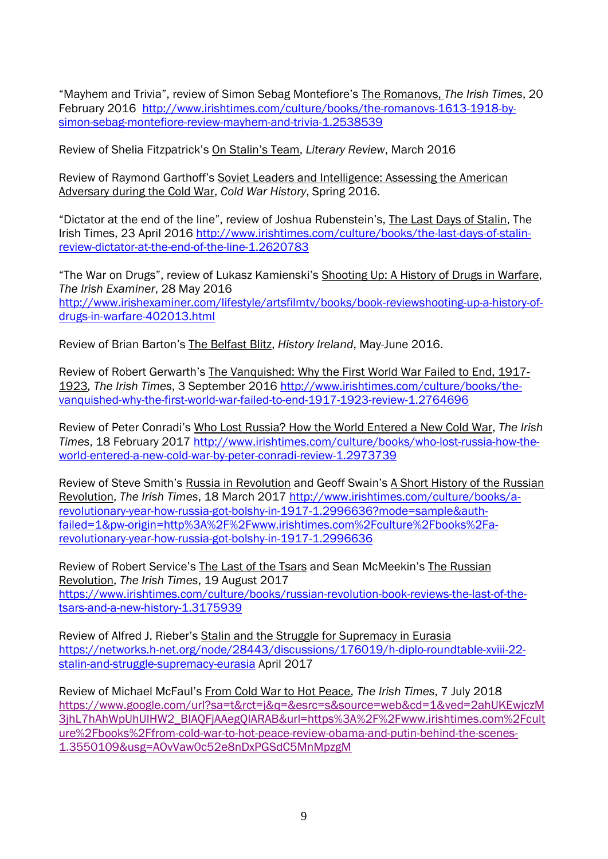"Mayhem and Trivia", review of Simon Sebag Montefiore's The Romanovs, *The Irish Times*, 20 February 2016 [http://www.irishtimes.com/culture/books/the-romanovs-1613-1918-by](http://www.irishtimes.com/culture/books/the-romanovs-1613-1918-by-simon-sebag-montefiore-review-mayhem-and-trivia-1.2538539)[simon-sebag-montefiore-review-mayhem-and-trivia-1.2538539](http://www.irishtimes.com/culture/books/the-romanovs-1613-1918-by-simon-sebag-montefiore-review-mayhem-and-trivia-1.2538539)

Review of Shelia Fitzpatrick's On Stalin's Team, *Literary Review*, March 2016

Review of Raymond Garthoff's Soviet Leaders and Intelligence: Assessing the American Adversary during the Cold War, *Cold War History*, Spring 2016.

"Dictator at the end of the line", review of Joshua Rubenstein's, The Last Days of Stalin, The Irish Times, 23 April 2016 [http://www.irishtimes.com/culture/books/the-last-days-of-stalin](http://www.irishtimes.com/culture/books/the-last-days-of-stalin-review-dictator-at-the-end-of-the-line-1.2620783)[review-dictator-at-the-end-of-the-line-1.2620783](http://www.irishtimes.com/culture/books/the-last-days-of-stalin-review-dictator-at-the-end-of-the-line-1.2620783)

"The War on Drugs", review of Lukasz Kamienski's Shooting Up: A History of Drugs in Warfare, *The Irish Examiner*, 28 May 2016 [http://www.irishexaminer.com/lifestyle/artsfilmtv/books/book-reviewshooting-up-a-history-of](http://www.irishexaminer.com/lifestyle/artsfilmtv/books/book-reviewshooting-up-a-history-of-drugs-in-warfare-402013.html)[drugs-in-warfare-402013.html](http://www.irishexaminer.com/lifestyle/artsfilmtv/books/book-reviewshooting-up-a-history-of-drugs-in-warfare-402013.html)

Review of Brian Barton's The Belfast Blitz, *History Ireland*, May-June 2016.

Review of Robert Gerwarth's The Vanquished: Why the First World War Failed to End, 1917- 1923*, The Irish Times*, 3 September 2016 [http://www.irishtimes.com/culture/books/the](http://www.irishtimes.com/culture/books/the-vanquished-why-the-first-world-war-failed-to-end-1917-1923-review-1.2764696)[vanquished-why-the-first-world-war-failed-to-end-1917-1923-review-1.2764696](http://www.irishtimes.com/culture/books/the-vanquished-why-the-first-world-war-failed-to-end-1917-1923-review-1.2764696)

Review of Peter Conradi's Who Lost Russia? How the World Entered a New Cold War, *The Irish Times*, 18 February 2017 [http://www.irishtimes.com/culture/books/who-lost-russia-how-the](http://www.irishtimes.com/culture/books/who-lost-russia-how-the-world-entered-a-new-cold-war-by-peter-conradi-review-1.2973739)[world-entered-a-new-cold-war-by-peter-conradi-review-1.2973739](http://www.irishtimes.com/culture/books/who-lost-russia-how-the-world-entered-a-new-cold-war-by-peter-conradi-review-1.2973739)

Review of Steve Smith's Russia in Revolution and Geoff Swain's A Short History of the Russian Revolution, *The Irish Times*, 18 March 2017 [http://www.irishtimes.com/culture/books/a](http://www.irishtimes.com/culture/books/a-revolutionary-year-how-russia-got-bolshy-in-1917-1.2996636?mode=sample&auth-failed=1&pw-origin=http%3A%2F%2Fwww.irishtimes.com%2Fculture%2Fbooks%2Fa-revolutionary-year-how-russia-got-bolshy-in-1917-1.2996636)[revolutionary-year-how-russia-got-bolshy-in-1917-1.2996636?mode=sample&auth](http://www.irishtimes.com/culture/books/a-revolutionary-year-how-russia-got-bolshy-in-1917-1.2996636?mode=sample&auth-failed=1&pw-origin=http%3A%2F%2Fwww.irishtimes.com%2Fculture%2Fbooks%2Fa-revolutionary-year-how-russia-got-bolshy-in-1917-1.2996636)[failed=1&pw-origin=http%3A%2F%2Fwww.irishtimes.com%2Fculture%2Fbooks%2Fa](http://www.irishtimes.com/culture/books/a-revolutionary-year-how-russia-got-bolshy-in-1917-1.2996636?mode=sample&auth-failed=1&pw-origin=http%3A%2F%2Fwww.irishtimes.com%2Fculture%2Fbooks%2Fa-revolutionary-year-how-russia-got-bolshy-in-1917-1.2996636)[revolutionary-year-how-russia-got-bolshy-in-1917-1.2996636](http://www.irishtimes.com/culture/books/a-revolutionary-year-how-russia-got-bolshy-in-1917-1.2996636?mode=sample&auth-failed=1&pw-origin=http%3A%2F%2Fwww.irishtimes.com%2Fculture%2Fbooks%2Fa-revolutionary-year-how-russia-got-bolshy-in-1917-1.2996636)

Review of Robert Service's The Last of the Tsars and Sean McMeekin's The Russian Revolution, *The Irish Times*, 19 August 2017 [https://www.irishtimes.com/culture/books/russian-revolution-book-reviews-the-last-of-the](https://www.irishtimes.com/culture/books/russian-revolution-book-reviews-the-last-of-the-tsars-and-a-new-history-1.3175939)[tsars-and-a-new-history-1.3175939](https://www.irishtimes.com/culture/books/russian-revolution-book-reviews-the-last-of-the-tsars-and-a-new-history-1.3175939)

Review of Alfred J. Rieber's Stalin and the Struggle for Supremacy in Eurasia [https://networks.h-net.org/node/28443/discussions/176019/h-diplo-roundtable-xviii-22](https://networks.h-net.org/node/28443/discussions/176019/h-diplo-roundtable-xviii-22-stalin-and-struggle-supremacy-eurasia) [stalin-and-struggle-supremacy-eurasia](https://networks.h-net.org/node/28443/discussions/176019/h-diplo-roundtable-xviii-22-stalin-and-struggle-supremacy-eurasia) April 2017

Review of Michael McFaul's From Cold War to Hot Peace, *The Irish Times*, 7 July 2018 [https://www.google.com/url?sa=t&rct=j&q=&esrc=s&source=web&cd=1&ved=2ahUKEwjczM](https://www.google.com/url?sa=t&rct=j&q=&esrc=s&source=web&cd=1&ved=2ahUKEwjczM3jhL7hAhWpUhUIHW2_BIAQFjAAegQIARAB&url=https%3A%2F%2Fwww.irishtimes.com%2Fculture%2Fbooks%2Ffrom-cold-war-to-hot-peace-review-obama-and-putin-behind-the-scenes-1.3550109&usg=AOvVaw0c52e8nDxPGSdC5MnMpzgM) [3jhL7hAhWpUhUIHW2\\_BIAQFjAAegQIARAB&url=https%3A%2F%2Fwww.irishtimes.com%2Fcult](https://www.google.com/url?sa=t&rct=j&q=&esrc=s&source=web&cd=1&ved=2ahUKEwjczM3jhL7hAhWpUhUIHW2_BIAQFjAAegQIARAB&url=https%3A%2F%2Fwww.irishtimes.com%2Fculture%2Fbooks%2Ffrom-cold-war-to-hot-peace-review-obama-and-putin-behind-the-scenes-1.3550109&usg=AOvVaw0c52e8nDxPGSdC5MnMpzgM) [ure%2Fbooks%2Ffrom-cold-war-to-hot-peace-review-obama-and-putin-behind-the-scenes-](https://www.google.com/url?sa=t&rct=j&q=&esrc=s&source=web&cd=1&ved=2ahUKEwjczM3jhL7hAhWpUhUIHW2_BIAQFjAAegQIARAB&url=https%3A%2F%2Fwww.irishtimes.com%2Fculture%2Fbooks%2Ffrom-cold-war-to-hot-peace-review-obama-and-putin-behind-the-scenes-1.3550109&usg=AOvVaw0c52e8nDxPGSdC5MnMpzgM)[1.3550109&usg=AOvVaw0c52e8nDxPGSdC5MnMpzgM](https://www.google.com/url?sa=t&rct=j&q=&esrc=s&source=web&cd=1&ved=2ahUKEwjczM3jhL7hAhWpUhUIHW2_BIAQFjAAegQIARAB&url=https%3A%2F%2Fwww.irishtimes.com%2Fculture%2Fbooks%2Ffrom-cold-war-to-hot-peace-review-obama-and-putin-behind-the-scenes-1.3550109&usg=AOvVaw0c52e8nDxPGSdC5MnMpzgM)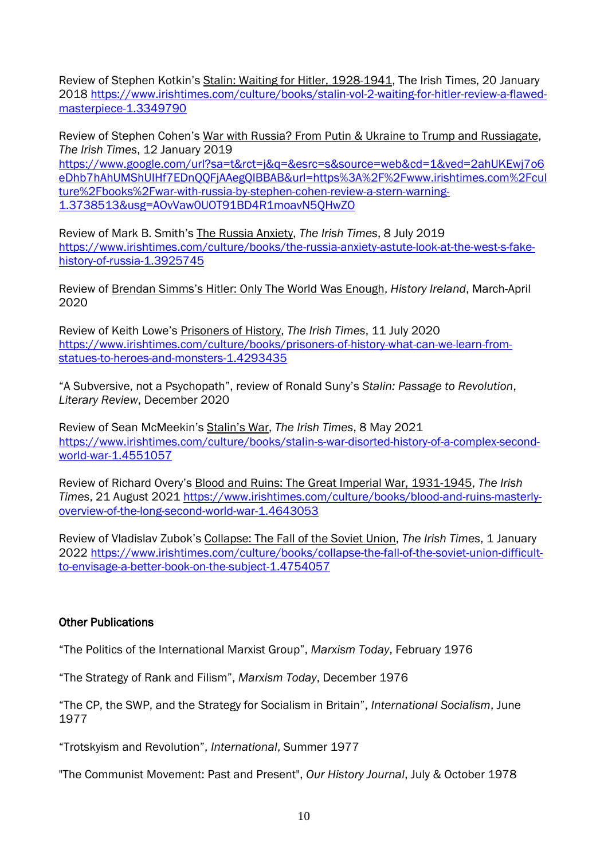Review of Stephen Kotkin's Stalin: Waiting for Hitler, 1928-1941, The Irish Times, 20 January 2018 [https://www.irishtimes.com/culture/books/stalin-vol-2-waiting-for-hitler-review-a-flawed](https://www.irishtimes.com/culture/books/stalin-vol-2-waiting-for-hitler-review-a-flawed-masterpiece-1.3349790)[masterpiece-1.3349790](https://www.irishtimes.com/culture/books/stalin-vol-2-waiting-for-hitler-review-a-flawed-masterpiece-1.3349790)

Review of Stephen Cohen's War with Russia? From Putin & Ukraine to Trump and Russiagate, *The Irish Times*, 12 January 2019

[https://www.google.com/url?sa=t&rct=j&q=&esrc=s&source=web&cd=1&ved=2ahUKEwj7o6](https://www.google.com/url?sa=t&rct=j&q=&esrc=s&source=web&cd=1&ved=2ahUKEwj7o6eDhb7hAhUMShUIHf7EDnQQFjAAegQIBBAB&url=https%3A%2F%2Fwww.irishtimes.com%2Fculture%2Fbooks%2Fwar-with-russia-by-stephen-cohen-review-a-stern-warning-1.3738513&usg=AOvVaw0UOT91BD4R1moavN5QHwZO) [eDhb7hAhUMShUIHf7EDnQQFjAAegQIBBAB&url=https%3A%2F%2Fwww.irishtimes.com%2Fcul](https://www.google.com/url?sa=t&rct=j&q=&esrc=s&source=web&cd=1&ved=2ahUKEwj7o6eDhb7hAhUMShUIHf7EDnQQFjAAegQIBBAB&url=https%3A%2F%2Fwww.irishtimes.com%2Fculture%2Fbooks%2Fwar-with-russia-by-stephen-cohen-review-a-stern-warning-1.3738513&usg=AOvVaw0UOT91BD4R1moavN5QHwZO) [ture%2Fbooks%2Fwar-with-russia-by-stephen-cohen-review-a-stern-warning-](https://www.google.com/url?sa=t&rct=j&q=&esrc=s&source=web&cd=1&ved=2ahUKEwj7o6eDhb7hAhUMShUIHf7EDnQQFjAAegQIBBAB&url=https%3A%2F%2Fwww.irishtimes.com%2Fculture%2Fbooks%2Fwar-with-russia-by-stephen-cohen-review-a-stern-warning-1.3738513&usg=AOvVaw0UOT91BD4R1moavN5QHwZO)[1.3738513&usg=AOvVaw0UOT91BD4R1moavN5QHwZO](https://www.google.com/url?sa=t&rct=j&q=&esrc=s&source=web&cd=1&ved=2ahUKEwj7o6eDhb7hAhUMShUIHf7EDnQQFjAAegQIBBAB&url=https%3A%2F%2Fwww.irishtimes.com%2Fculture%2Fbooks%2Fwar-with-russia-by-stephen-cohen-review-a-stern-warning-1.3738513&usg=AOvVaw0UOT91BD4R1moavN5QHwZO)

Review of Mark B. Smith's The Russia Anxiety, *The Irish Times*, 8 July 2019 [https://www.irishtimes.com/culture/books/the-russia-anxiety-astute-look-at-the-west-s-fake](https://www.irishtimes.com/culture/books/the-russia-anxiety-astute-look-at-the-west-s-fake-history-of-russia-1.3925745)[history-of-russia-1.3925745](https://www.irishtimes.com/culture/books/the-russia-anxiety-astute-look-at-the-west-s-fake-history-of-russia-1.3925745)

Review of Brendan Simms's Hitler: Only The World Was Enough, *History Ireland*, March-April 2020

Review of Keith Lowe's Prisoners of History, *The Irish Times*, 11 July 2020 [https://www.irishtimes.com/culture/books/prisoners-of-history-what-can-we-learn-from](https://www.irishtimes.com/culture/books/prisoners-of-history-what-can-we-learn-from-statues-to-heroes-and-monsters-1.4293435)[statues-to-heroes-and-monsters-1.4293435](https://www.irishtimes.com/culture/books/prisoners-of-history-what-can-we-learn-from-statues-to-heroes-and-monsters-1.4293435)

"A Subversive, not a Psychopath", review of Ronald Suny's *Stalin: Passage to Revolution*, *Literary Review*, December 2020

Review of Sean McMeekin's Stalin's War, *The Irish Times*, 8 May 2021 [https://www.irishtimes.com/culture/books/stalin-s-war-disorted-history-of-a-complex-second](https://www.irishtimes.com/culture/books/stalin-s-war-disorted-history-of-a-complex-second-world-war-1.4551057)[world-war-1.4551057](https://www.irishtimes.com/culture/books/stalin-s-war-disorted-history-of-a-complex-second-world-war-1.4551057)

Review of Richard Overy's Blood and Ruins: The Great Imperial War, 1931-1945, *The Irish Times*, 21 August 2021 [https://www.irishtimes.com/culture/books/blood-and-ruins-masterly](https://www.irishtimes.com/culture/books/blood-and-ruins-masterly-overview-of-the-long-second-world-war-1.4643053)[overview-of-the-long-second-world-war-1.4643053](https://www.irishtimes.com/culture/books/blood-and-ruins-masterly-overview-of-the-long-second-world-war-1.4643053)

Review of Vladislav Zubok's Collapse: The Fall of the Soviet Union, The Irish Times, 1 January 2022 [https://www.irishtimes.com/culture/books/collapse-the-fall-of-the-soviet-union-difficult](https://www.irishtimes.com/culture/books/collapse-the-fall-of-the-soviet-union-difficult-to-envisage-a-better-book-on-the-subject-1.4754057)[to-envisage-a-better-book-on-the-subject-1.4754057](https://www.irishtimes.com/culture/books/collapse-the-fall-of-the-soviet-union-difficult-to-envisage-a-better-book-on-the-subject-1.4754057)

# Other Publications

"The Politics of the International Marxist Group", *Marxism Today*, February 1976

"The Strategy of Rank and Filism", *Marxism Today*, December 1976

"The CP, the SWP, and the Strategy for Socialism in Britain", *International Socialism*, June 1977

"Trotskyism and Revolution", *International*, Summer 1977

"The Communist Movement: Past and Present", *Our History Journal*, July & October 1978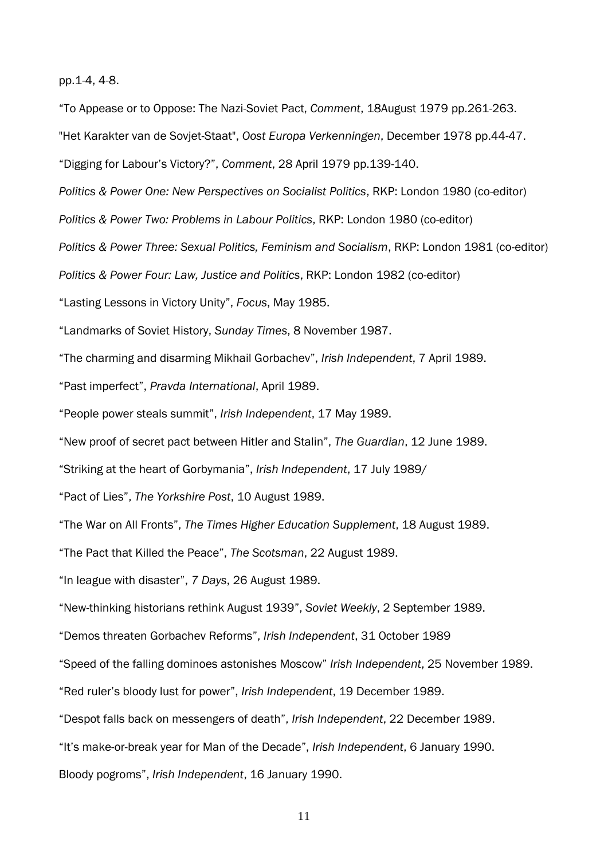pp.1-4, 4-8.

"To Appease or to Oppose: The Nazi-Soviet Pact, *Comment*, 18August 1979 pp.261-263.

"Het Karakter van de Sovjet-Staat", *Oost Europa Verkenningen*, December 1978 pp.44-47.

"Digging for Labour's Victory?", *Comment*, 28 April 1979 pp.139-140.

*Politics & Power One: New Perspectives on Socialist Politics*, RKP: London 1980 (co-editor)

*Politics & Power Two: Problems in Labour Politics*, RKP: London 1980 (co-editor)

*Politics & Power Three: Sexual Politics, Feminism and Socialism*, RKP: London 1981 (co-editor)

*Politics & Power Four: Law, Justice and Politics*, RKP: London 1982 (co-editor)

"Lasting Lessons in Victory Unity", *Focus*, May 1985.

"Landmarks of Soviet History, *Sunday Times*, 8 November 1987.

"The charming and disarming Mikhail Gorbachev", *Irish Independent*, 7 April 1989.

"Past imperfect", *Pravda International*, April 1989.

"People power steals summit", *Irish Independent*, 17 May 1989.

"New proof of secret pact between Hitler and Stalin", *The Guardian*, 12 June 1989.

"Striking at the heart of Gorbymania", *Irish Independent*, 17 July 1989/

"Pact of Lies", *The Yorkshire Post*, 10 August 1989.

"The War on All Fronts", *The Times Higher Education Supplement*, 18 August 1989.

"The Pact that Killed the Peace", *The Scotsman*, 22 August 1989.

"In league with disaster", *7 Days*, 26 August 1989.

"New-thinking historians rethink August 1939", *Soviet Weekly*, 2 September 1989.

"Demos threaten Gorbachev Reforms", *Irish Independent*, 31 October 1989

"Speed of the falling dominoes astonishes Moscow" *Irish Independent*, 25 November 1989.

"Red ruler's bloody lust for power", *Irish Independent*, 19 December 1989.

"Despot falls back on messengers of death", *Irish Independent*, 22 December 1989.

"It's make-or-break year for Man of the Decade", *Irish Independent*, 6 January 1990.

Bloody pogroms", *Irish Independent*, 16 January 1990.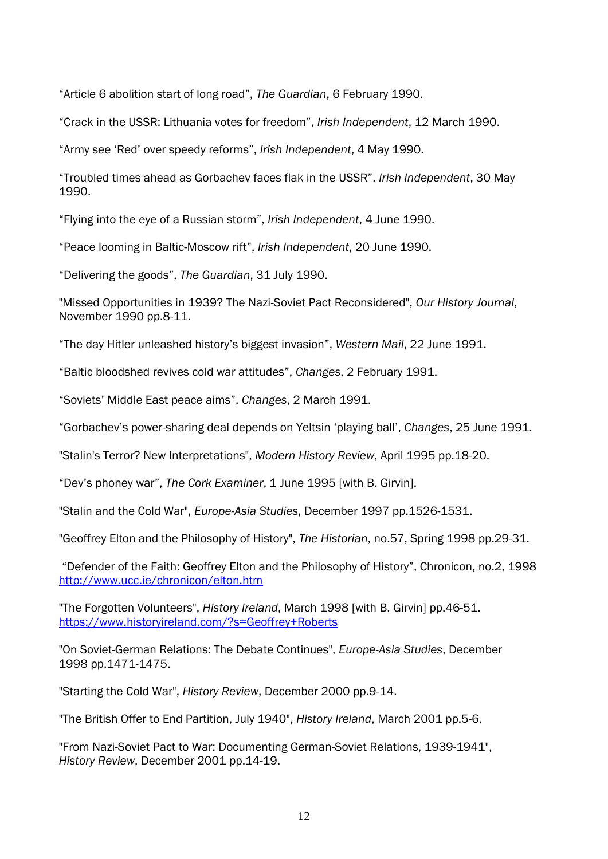"Article 6 abolition start of long road", *The Guardian*, 6 February 1990.

"Crack in the USSR: Lithuania votes for freedom", *Irish Independent*, 12 March 1990.

"Army see 'Red' over speedy reforms", *Irish Independent*, 4 May 1990.

"Troubled times ahead as Gorbachev faces flak in the USSR", *Irish Independent*, 30 May 1990.

"Flying into the eye of a Russian storm", *Irish Independent*, 4 June 1990.

"Peace looming in Baltic-Moscow rift", *Irish Independent*, 20 June 1990.

"Delivering the goods", *The Guardian*, 31 July 1990.

"Missed Opportunities in 1939? The Nazi-Soviet Pact Reconsidered", *Our History Journal*, November 1990 pp.8-11.

"The day Hitler unleashed history's biggest invasion", *Western Mail*, 22 June 1991.

"Baltic bloodshed revives cold war attitudes", *Changes*, 2 February 1991.

"Soviets' Middle East peace aims", *Changes*, 2 March 1991.

"Gorbachev's power-sharing deal depends on Yeltsin 'playing ball', *Changes*, 25 June 1991.

"Stalin's Terror? New Interpretations", *Modern History Review*, April 1995 pp.18-20.

"Dev's phoney war", *The Cork Examiner*, 1 June 1995 [with B. Girvin].

"Stalin and the Cold War", *Europe-Asia Studies*, December 1997 pp.1526-1531.

"Geoffrey Elton and the Philosophy of History", *The Historian*, no.57, Spring 1998 pp.29-31.

"Defender of the Faith: Geoffrey Elton and the Philosophy of History", Chronicon, no.2, 1998 <http://www.ucc.ie/chronicon/elton.htm>

"The Forgotten Volunteers", *History Ireland*, March 1998 [with B. Girvin] pp.46-51. <https://www.historyireland.com/?s=Geoffrey+Roberts>

"On Soviet-German Relations: The Debate Continues", *Europe-Asia Studies*, December 1998 pp.1471-1475.

"Starting the Cold War", *History Review*, December 2000 pp.9-14.

"The British Offer to End Partition, July 1940", *History Ireland*, March 2001 pp.5-6.

"From Nazi-Soviet Pact to War: Documenting German-Soviet Relations, 1939-1941", *History Review*, December 2001 pp.14-19.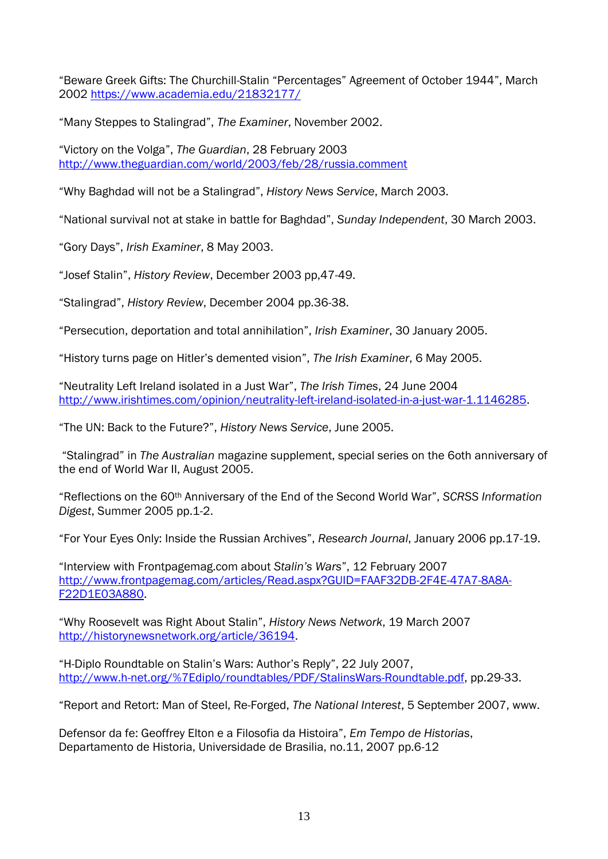"Beware Greek Gifts: The Churchill-Stalin "Percentages" Agreement of October 1944", March 2002<https://www.academia.edu/21832177/>

"Many Steppes to Stalingrad", *The Examiner*, November 2002.

"Victory on the Volga", *The Guardian*, 28 February 2003 <http://www.theguardian.com/world/2003/feb/28/russia.comment>

"Why Baghdad will not be a Stalingrad", *History News Service*, March 2003.

"National survival not at stake in battle for Baghdad", *Sunday Independent*, 30 March 2003.

"Gory Days", *Irish Examiner*, 8 May 2003.

"Josef Stalin", *History Review*, December 2003 pp,47-49.

"Stalingrad", *History Review*, December 2004 pp.36-38.

"Persecution, deportation and total annihilation", *Irish Examiner*, 30 January 2005.

"History turns page on Hitler's demented vision", *The Irish Examiner*, 6 May 2005.

"Neutrality Left Ireland isolated in a Just War", *The Irish Times*, 24 June 2004 [http://www.irishtimes.com/opinion/neutrality-left-ireland-isolated-in-a-just-war-1.1146285.](http://www.irishtimes.com/opinion/neutrality-left-ireland-isolated-in-a-just-war-1.1146285)

"The UN: Back to the Future?", *History News Service*, June 2005.

"Stalingrad" in *The Australian* magazine supplement, special series on the 6oth anniversary of the end of World War II, August 2005.

"Reflections on the 60th Anniversary of the End of the Second World War", *SCRSS Information Digest*, Summer 2005 pp.1-2.

"For Your Eyes Only: Inside the Russian Archives", *Research Journal*, January 2006 pp.17-19.

"Interview with Frontpagemag.com about *Stalin's Wars*", 12 February 2007 [http://www.frontpagemag.com/articles/Read.aspx?GUID=FAAF32DB-2F4E-47A7-8A8A-](http://www.frontpagemag.com/articles/Read.aspx?GUID=FAAF32DB-2F4E-47A7-8A8A-F22D1E03A880)[F22D1E03A880.](http://www.frontpagemag.com/articles/Read.aspx?GUID=FAAF32DB-2F4E-47A7-8A8A-F22D1E03A880)

"Why Roosevelt was Right About Stalin", *History News Network*, 19 March 2007 [http://historynewsnetwork.org/article/36194.](http://historynewsnetwork.org/article/36194)

"H-Diplo Roundtable on Stalin's Wars: Author's Reply", 22 July 2007, [http://www.h-net.org/%7Ediplo/roundtables/PDF/StalinsWars-Roundtable.pdf,](http://www.h-net.org/~diplo/roundtables/PDF/StalinsWars-Roundtable.pdf) pp.29-33.

"Report and Retort: Man of Steel, Re-Forged, *The National Interest*, 5 September 2007, www.

Defensor da fe: Geoffrey Elton e a Filosofia da Histoira", *Em Tempo de Historias*, Departamento de Historia, Universidade de Brasilia, no.11, 2007 pp.6-12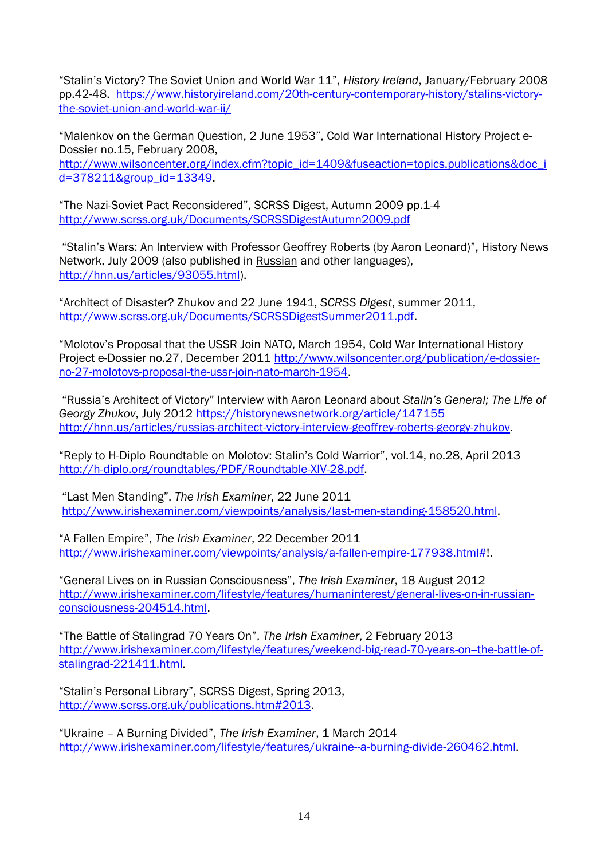"Stalin's Victory? The Soviet Union and World War 11", *History Ireland*, January/February 2008 pp.42-48. [https://www.historyireland.com/20th-century-contemporary-history/stalins-victory](https://www.historyireland.com/20th-century-contemporary-history/stalins-victory-the-soviet-union-and-world-war-ii/)[the-soviet-union-and-world-war-ii/](https://www.historyireland.com/20th-century-contemporary-history/stalins-victory-the-soviet-union-and-world-war-ii/)

"Malenkov on the German Question, 2 June 1953", Cold War International History Project e-Dossier no.15, February 2008, [http://www.wilsoncenter.org/index.cfm?topic\\_id=1409&fuseaction=topics.publications&doc\\_i](http://www.wilsoncenter.org/index.cfm?topic_id=1409&fuseaction=topics.publications&doc_id=378211&group_id=13349) [d=378211&group\\_id=13349.](http://www.wilsoncenter.org/index.cfm?topic_id=1409&fuseaction=topics.publications&doc_id=378211&group_id=13349)

"The Nazi-Soviet Pact Reconsidered", SCRSS Digest, Autumn 2009 pp.1-4 <http://www.scrss.org.uk/Documents/SCRSSDigestAutumn2009.pdf>

"Stalin's Wars: An Interview with Professor Geoffrey Roberts (by Aaron Leonard)", History News Network, July 2009 (also published in Russian and other languages), [http://hnn.us/articles/93055.html\)](http://hnn.us/articles/93055.html).

"Architect of Disaster? Zhukov and 22 June 1941, *SCRSS Digest*, summer 2011, [http://www.scrss.org.uk/Documents/SCRSSDigestSummer2011.pdf.](http://www.scrss.org.uk/Documents/SCRSSDigestSummer2011.pdf)

"Molotov's Proposal that the USSR Join NATO, March 1954, Cold War International History Project e-Dossier no.27, December 2011 [http://www.wilsoncenter.org/publication/e-dossier](http://www.wilsoncenter.org/publication/e-dossier-no-27-molotovs-proposal-the-ussr-join-nato-march-1954)[no-27-molotovs-proposal-the-ussr-join-nato-march-1954.](http://www.wilsoncenter.org/publication/e-dossier-no-27-molotovs-proposal-the-ussr-join-nato-march-1954)

"Russia's Architect of Victory" Interview with Aaron Leonard about *Stalin's General; The Life of Georgy Zhukov*, July 2012<https://historynewsnetwork.org/article/147155> [http://hnn.us/articles/russias-architect-victory-interview-geoffrey-roberts-georgy-zhukov.](http://hnn.us/articles/russias-architect-victory-interview-geoffrey-roberts-georgy-zhukov)

"Reply to H-Diplo Roundtable on Molotov: Stalin's Cold Warrior", vol.14, no.28, April 2013 [http://h-diplo.org/roundtables/PDF/Roundtable-XIV-28.pdf.](http://h-diplo.org/roundtables/PDF/Roundtable-XIV-28.pdf)

"Last Men Standing", *The Irish Examiner*, 22 June 2011 [http://www.irishexaminer.com/viewpoints/analysis/last-men-standing-158520.html.](http://www.irishexaminer.com/viewpoints/analysis/last-men-standing-158520.html)

"A Fallen Empire", *The Irish Examiner*, 22 December 2011 [http://www.irishexaminer.com/viewpoints/analysis/a-fallen-empire-177938.html#!](http://www.irishexaminer.com/viewpoints/analysis/a-fallen-empire-177938.html).

"General Lives on in Russian Consciousness", *The Irish Examiner*, 18 August 2012 [http://www.irishexaminer.com/lifestyle/features/humaninterest/general-lives-on-in-russian](http://www.irishexaminer.com/lifestyle/features/humaninterest/general-lives-on-in-russian-consciousness-204514.html)[consciousness-204514.html.](http://www.irishexaminer.com/lifestyle/features/humaninterest/general-lives-on-in-russian-consciousness-204514.html)

"The Battle of Stalingrad 70 Years On", *The Irish Examiner*, 2 February 2013 [http://www.irishexaminer.com/lifestyle/features/weekend-big-read-70-years-on--the-battle-of](http://www.irishexaminer.com/lifestyle/features/weekend-big-read-70-years-on--the-battle-of-stalingrad-221411.html)[stalingrad-221411.html.](http://www.irishexaminer.com/lifestyle/features/weekend-big-read-70-years-on--the-battle-of-stalingrad-221411.html)

"Stalin's Personal Library", SCRSS Digest, Spring 2013, [http://www.scrss.org.uk/publications.htm#2013.](http://www.scrss.org.uk/publications.htm#2013)

"Ukraine – A Burning Divided", *The Irish Examiner*, 1 March 2014 [http://www.irishexaminer.com/lifestyle/features/ukraine--a-burning-divide-260462.html.](http://www.irishexaminer.com/lifestyle/features/ukraine--a-burning-divide-260462.html)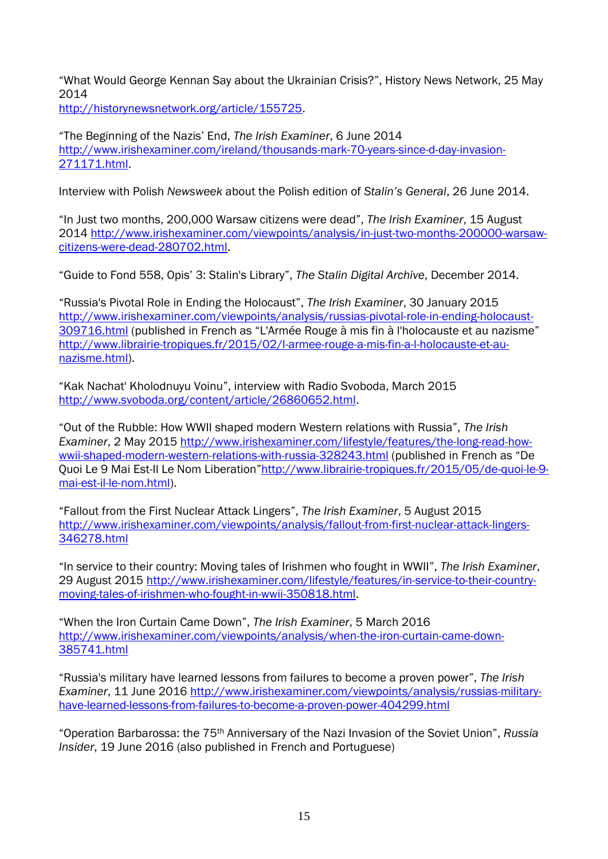"What Would George Kennan Say about the Ukrainian Crisis?", History News Network, 25 May 2014

[http://historynewsnetwork.org/article/155725.](http://historynewsnetwork.org/article/155725)

"The Beginning of the Nazis' End, *The Irish Examiner*, 6 June 2014 [http://www.irishexaminer.com/ireland/thousands-mark-70-years-since-d-day-invasion-](http://www.irishexaminer.com/ireland/thousands-mark-70-years-since-d-day-invasion-271171.html)[271171.html.](http://www.irishexaminer.com/ireland/thousands-mark-70-years-since-d-day-invasion-271171.html)

Interview with Polish *Newsweek* about the Polish edition of *Stalin's General*, 26 June 2014.

"In Just two months, 200,000 Warsaw citizens were dead", *The Irish Examiner*, 15 August 2014 [http://www.irishexaminer.com/viewpoints/analysis/in-just-two-months-200000-warsaw](http://www.irishexaminer.com/viewpoints/analysis/in-just-two-months-200000-warsaw-citizens-were-dead-280702.html)[citizens-were-dead-280702.html.](http://www.irishexaminer.com/viewpoints/analysis/in-just-two-months-200000-warsaw-citizens-were-dead-280702.html)

"Guide to Fond 558, Opis' 3: Stalin's Library", *The Stalin Digital Archive*, December 2014.

"Russia's Pivotal Role in Ending the Holocaust", *The Irish Examiner*, 30 January 2015 [http://www.irishexaminer.com/viewpoints/analysis/russias-pivotal-role-in-ending-holocaust-](http://www.irishexaminer.com/viewpoints/analysis/russias-pivotal-role-in-ending-holocaust-309716.html)[309716.html](http://www.irishexaminer.com/viewpoints/analysis/russias-pivotal-role-in-ending-holocaust-309716.html) (published in French as "L'Armée Rouge à mis fin à l'holocauste et au nazisme" [http://www.librairie-tropiques.fr/2015/02/l-armee-rouge-a-mis-fin-a-l-holocauste-et-au](http://www.librairie-tropiques.fr/2015/02/l-armee-rouge-a-mis-fin-a-l-holocauste-et-au-nazisme.html)[nazisme.html\)](http://www.librairie-tropiques.fr/2015/02/l-armee-rouge-a-mis-fin-a-l-holocauste-et-au-nazisme.html).

"Kak Nachat' Kholodnuyu Voinu", interview with Radio Svoboda, March 2015 [http://www.svoboda.org/content/article/26860652.html.](http://www.svoboda.org/content/article/26860652.html)

"Out of the Rubble: How WWII shaped modern Western relations with Russia", *The Irish Examiner*, 2 May 2015 [http://www.irishexaminer.com/lifestyle/features/the-long-read-how](http://www.irishexaminer.com/lifestyle/features/the-long-read-how-wwii-shaped-modern-western-relations-with-russia-328243.html)[wwii-shaped-modern-western-relations-with-russia-328243.html](http://www.irishexaminer.com/lifestyle/features/the-long-read-how-wwii-shaped-modern-western-relations-with-russia-328243.html) (published in French as "De Quoi Le 9 Mai Est-Il Le Nom Liberation"[http://www.librairie-tropiques.fr/2015/05/de-quoi-le-9](http://www.librairie-tropiques.fr/2015/05/de-quoi-le-9-mai-est-il-le-nom.html) [mai-est-il-le-nom.html\)](http://www.librairie-tropiques.fr/2015/05/de-quoi-le-9-mai-est-il-le-nom.html).

"Fallout from the First Nuclear Attack Lingers", *The Irish Examiner*, 5 August 2015 [http://www.irishexaminer.com/viewpoints/analysis/fallout-from-first-nuclear-attack-lingers-](http://www.irishexaminer.com/viewpoints/analysis/fallout-from-first-nuclear-attack-lingers-346278.html)[346278.html](http://www.irishexaminer.com/viewpoints/analysis/fallout-from-first-nuclear-attack-lingers-346278.html)

"In service to their country: Moving tales of Irishmen who fought in WWII", *The Irish Examiner*, 29 August 2015 [http://www.irishexaminer.com/lifestyle/features/in-service-to-their-country](http://www.irishexaminer.com/lifestyle/features/in-service-to-their-country-moving-tales-of-irishmen-who-fought-in-wwii-350818.html)[moving-tales-of-irishmen-who-fought-in-wwii-350818.html.](http://www.irishexaminer.com/lifestyle/features/in-service-to-their-country-moving-tales-of-irishmen-who-fought-in-wwii-350818.html)

"When the Iron Curtain Came Down", *The Irish Examiner*, 5 March 2016 [http://www.irishexaminer.com/viewpoints/analysis/when-the-iron-curtain-came-down-](http://www.irishexaminer.com/viewpoints/analysis/when-the-iron-curtain-came-down-385741.html)[385741.html](http://www.irishexaminer.com/viewpoints/analysis/when-the-iron-curtain-came-down-385741.html)

"Russia's military have learned lessons from failures to become a proven power", *The Irish Examiner*, 11 June 2016 [http://www.irishexaminer.com/viewpoints/analysis/russias-military](http://www.irishexaminer.com/viewpoints/analysis/russias-military-have-learned-lessons-from-failures-to-become-a-proven-power-404299.html)[have-learned-lessons-from-failures-to-become-a-proven-power-404299.html](http://www.irishexaminer.com/viewpoints/analysis/russias-military-have-learned-lessons-from-failures-to-become-a-proven-power-404299.html)

"Operation Barbarossa: the 75th Anniversary of the Nazi Invasion of the Soviet Union", *Russia Insider*, 19 June 2016 (also published in French and Portuguese)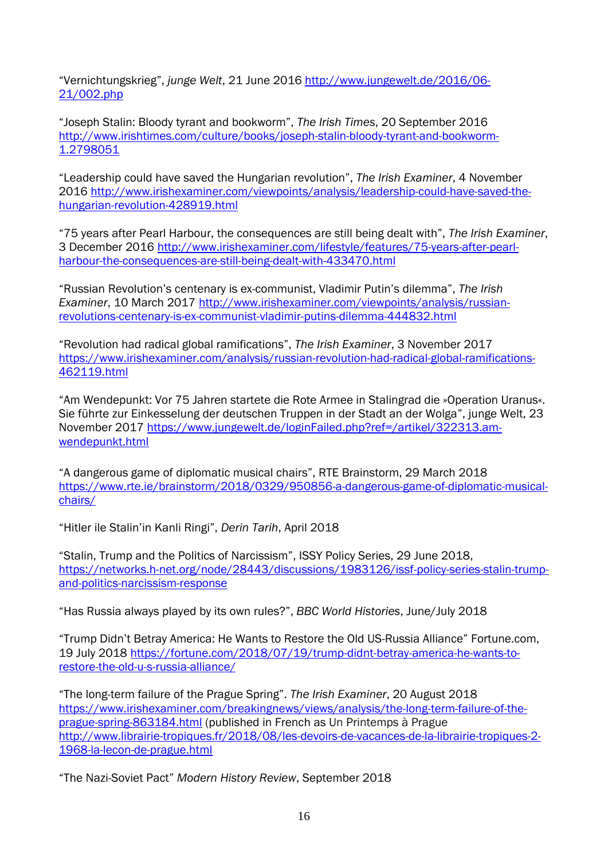"Vernichtungskrieg", *junge Welt*, 21 June 2016 [http://www.jungewelt.de/2016/06-](http://www.jungewelt.de/2016/06-21/002.php) [21/002.php](http://www.jungewelt.de/2016/06-21/002.php)

"Joseph Stalin: Bloody tyrant and bookworm", *The Irish Times*, 20 September 2016 [http://www.irishtimes.com/culture/books/joseph-stalin-bloody-tyrant-and-bookworm-](http://www.irishtimes.com/culture/books/joseph-stalin-bloody-tyrant-and-bookworm-1.2798051)[1.2798051](http://www.irishtimes.com/culture/books/joseph-stalin-bloody-tyrant-and-bookworm-1.2798051)

"Leadership could have saved the Hungarian revolution", *The Irish Examiner*, 4 November 2016 [http://www.irishexaminer.com/viewpoints/analysis/leadership-could-have-saved-the](http://www.irishexaminer.com/viewpoints/analysis/leadership-could-have-saved-the-hungarian-revolution-428919.html)[hungarian-revolution-428919.html](http://www.irishexaminer.com/viewpoints/analysis/leadership-could-have-saved-the-hungarian-revolution-428919.html)

"75 years after Pearl Harbour, the consequences are still being dealt with", *The Irish Examiner*, 3 December 2016 [http://www.irishexaminer.com/lifestyle/features/75-years-after-pearl](http://www.irishexaminer.com/lifestyle/features/75-years-after-pearl-harbour-the-consequences-are-still-being-dealt-with-433470.html)[harbour-the-consequences-are-still-being-dealt-with-433470.html](http://www.irishexaminer.com/lifestyle/features/75-years-after-pearl-harbour-the-consequences-are-still-being-dealt-with-433470.html)

"Russian Revolution's centenary is ex-communist, Vladimir Putin's dilemma", *The Irish Examiner*, 10 March 2017 [http://www.irishexaminer.com/viewpoints/analysis/russian](http://www.irishexaminer.com/viewpoints/analysis/russian-revolutions-centenary-is-ex-communist-vladimir-putins-dilemma-444832.html)[revolutions-centenary-is-ex-communist-vladimir-putins-dilemma-444832.html](http://www.irishexaminer.com/viewpoints/analysis/russian-revolutions-centenary-is-ex-communist-vladimir-putins-dilemma-444832.html)

"Revolution had radical global ramifications", *The Irish Examiner*, 3 November 2017 [https://www.irishexaminer.com/analysis/russian-revolution-had-radical-global-ramifications-](https://www.irishexaminer.com/analysis/russian-revolution-had-radical-global-ramifications-462119.html)[462119.html](https://www.irishexaminer.com/analysis/russian-revolution-had-radical-global-ramifications-462119.html)

"Am Wendepunkt: Vor 75 Jahren startete die Rote Armee in Stalingrad die »Operation Uranus«. Sie führte zur Einkesselung der deutschen Truppen in der Stadt an der Wolga", junge Welt, 23 November 2017 [https://www.jungewelt.de/loginFailed.php?ref=/artikel/322313.am](https://www.jungewelt.de/loginFailed.php?ref=/artikel/322313.am-wendepunkt.html)[wendepunkt.html](https://www.jungewelt.de/loginFailed.php?ref=/artikel/322313.am-wendepunkt.html)

"A dangerous game of diplomatic musical chairs", RTE Brainstorm, 29 March 2018 [https://www.rte.ie/brainstorm/2018/0329/950856-a-dangerous-game-of-diplomatic-musical](https://www.rte.ie/brainstorm/2018/0329/950856-a-dangerous-game-of-diplomatic-musical-chairs/)[chairs/](https://www.rte.ie/brainstorm/2018/0329/950856-a-dangerous-game-of-diplomatic-musical-chairs/)

"Hitler ile Stalin'in Kanli Ringi", *Derin Tarih*, April 2018

"Stalin, Trump and the Politics of Narcissism", ISSY Policy Series, 29 June 2018, [https://networks.h-net.org/node/28443/discussions/1983126/issf-policy-series-stalin-trump](https://networks.h-net.org/node/28443/discussions/1983126/issf-policy-series-stalin-trump-and-politics-narcissism-response)[and-politics-narcissism-response](https://networks.h-net.org/node/28443/discussions/1983126/issf-policy-series-stalin-trump-and-politics-narcissism-response)

"Has Russia always played by its own rules?", *BBC World Histories*, June/July 2018

"Trump Didn't Betray America: He Wants to Restore the Old US-Russia Alliance" Fortune.com, 19 July 2018 [https://fortune.com/2018/07/19/trump-didnt-betray-america-he-wants-to](https://fortune.com/2018/07/19/trump-didnt-betray-america-he-wants-to-restore-the-old-u-s-russia-alliance/)[restore-the-old-u-s-russia-alliance/](https://fortune.com/2018/07/19/trump-didnt-betray-america-he-wants-to-restore-the-old-u-s-russia-alliance/)

"The long-term failure of the Prague Spring". *The Irish Examiner*, 20 August 2018 [https://www.irishexaminer.com/breakingnews/views/analysis/the-long-term-failure-of-the](https://www.irishexaminer.com/breakingnews/views/analysis/the-long-term-failure-of-the-prague-spring-863184.html)[prague-spring-863184.html](https://www.irishexaminer.com/breakingnews/views/analysis/the-long-term-failure-of-the-prague-spring-863184.html) (published in French as Un Printemps à Prague [http://www.librairie-tropiques.fr/2018/08/les-devoirs-de-vacances-de-la-librairie-tropiques-2-](http://www.librairie-tropiques.fr/2018/08/les-devoirs-de-vacances-de-la-librairie-tropiques-2-1968-la-lecon-de-prague.html) [1968-la-lecon-de-prague.html](http://www.librairie-tropiques.fr/2018/08/les-devoirs-de-vacances-de-la-librairie-tropiques-2-1968-la-lecon-de-prague.html)

"The Nazi-Soviet Pact" *Modern History Review*, September 2018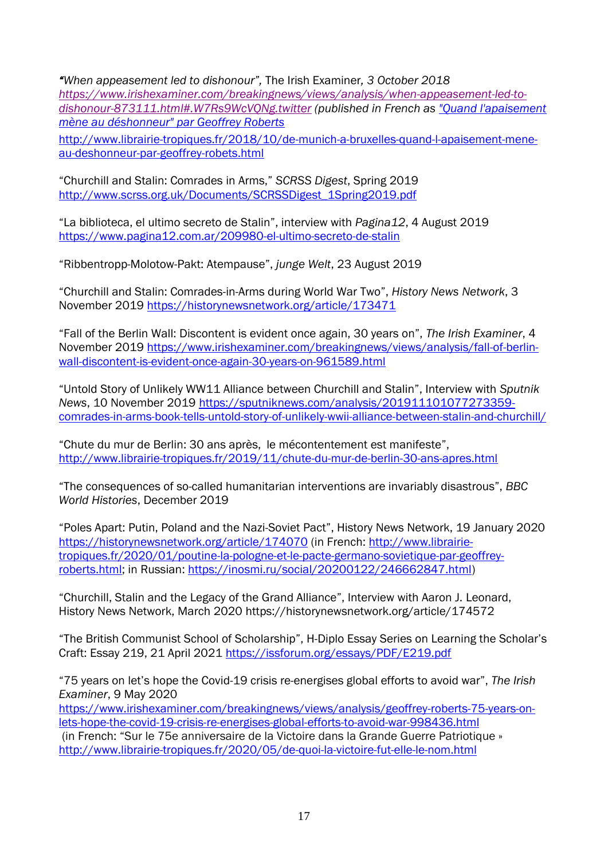*"When appeasement led to dishonour",* The Irish Examiner*, 3 October 2018 [https://www.irishexaminer.com/breakingnews/views/analysis/when-appeasement-led-to](https://www.irishexaminer.com/breakingnews/views/analysis/when-appeasement-led-to-dishonour-873111.html#.W7Rs9WcVQNg.twitter)[dishonour-873111.html#.W7Rs9WcVQNg.twitter](https://www.irishexaminer.com/breakingnews/views/analysis/when-appeasement-led-to-dishonour-873111.html#.W7Rs9WcVQNg.twitter) (published in French as ["Quand l'apaisement](http://www.librairie-tropiques.fr/2018/10/de-munich-a-bruxelles-quand-l-apaisement-mene-au-deshonneur-par-geoffrey-robets.html)  [mène au déshonneur" par Geoffrey Roberts](http://www.librairie-tropiques.fr/2018/10/de-munich-a-bruxelles-quand-l-apaisement-mene-au-deshonneur-par-geoffrey-robets.html)* [http://www.librairie-tropiques.fr/2018/10/de-munich-a-bruxelles-quand-l-apaisement-mene](http://www.librairie-tropiques.fr/2018/10/de-munich-a-bruxelles-quand-l-apaisement-mene-au-deshonneur-par-geoffrey-robets.html)[au-deshonneur-par-geoffrey-robets.html](http://www.librairie-tropiques.fr/2018/10/de-munich-a-bruxelles-quand-l-apaisement-mene-au-deshonneur-par-geoffrey-robets.html)

"Churchill and Stalin: Comrades in Arms," *SCRSS Digest*, Spring 2019 [http://www.scrss.org.uk/Documents/SCRSSDigest\\_1Spring2019.pdf](http://www.scrss.org.uk/Documents/SCRSSDigest_1Spring2019.pdf)

"La biblioteca, el ultimo secreto de Stalin", interview with *Pagina12*, 4 August 2019 <https://www.pagina12.com.ar/209980-el-ultimo-secreto-de-stalin>

"Ribbentropp-Molotow-Pakt: Atempause", *junge Welt*, 23 August 2019

"Churchill and Stalin: Comrades-in-Arms during World War Two", *History News Network*, 3 November 2019 <https://historynewsnetwork.org/article/173471>

"Fall of the Berlin Wall: Discontent is evident once again, 30 years on", *The Irish Examiner*, 4 November 2019 [https://www.irishexaminer.com/breakingnews/views/analysis/fall-of-berlin](https://www.irishexaminer.com/breakingnews/views/analysis/fall-of-berlin-wall-discontent-is-evident-once-again-30-years-on-961589.html)[wall-discontent-is-evident-once-again-30-years-on-961589.html](https://www.irishexaminer.com/breakingnews/views/analysis/fall-of-berlin-wall-discontent-is-evident-once-again-30-years-on-961589.html)

"Untold Story of Unlikely WW11 Alliance between Churchill and Stalin", Interview with *Sputnik News*, 10 November 2019 [https://sputniknews.com/analysis/201911101077273359](https://sputniknews.com/analysis/201911101077273359-comrades-in-arms-book-tells-untold-story-of-unlikely-wwii-alliance-between-stalin-and-churchill/) [comrades-in-arms-book-tells-untold-story-of-unlikely-wwii-alliance-between-stalin-and-churchill/](https://sputniknews.com/analysis/201911101077273359-comrades-in-arms-book-tells-untold-story-of-unlikely-wwii-alliance-between-stalin-and-churchill/)

"Chute du mur de Berlin: 30 ans après, le mécontentement est manifeste", <http://www.librairie-tropiques.fr/2019/11/chute-du-mur-de-berlin-30-ans-apres.html>

"The consequences of so-called humanitarian interventions are invariably disastrous", *BBC World Histories*, December 2019

"Poles Apart: Putin, Poland and the Nazi-Soviet Pact", History News Network, 19 January 2020 <https://historynewsnetwork.org/article/174070> (in French: [http://www.librairie](http://www.librairie-tropiques.fr/2020/01/poutine-la-pologne-et-le-pacte-germano-sovietique-par-geoffrey-roberts.html)[tropiques.fr/2020/01/poutine-la-pologne-et-le-pacte-germano-sovietique-par-geoffrey](http://www.librairie-tropiques.fr/2020/01/poutine-la-pologne-et-le-pacte-germano-sovietique-par-geoffrey-roberts.html)[roberts.html;](http://www.librairie-tropiques.fr/2020/01/poutine-la-pologne-et-le-pacte-germano-sovietique-par-geoffrey-roberts.html) in Russian: [https://inosmi.ru/social/20200122/246662847.html\)](https://inosmi.ru/social/20200122/246662847.html)

"Churchill, Stalin and the Legacy of the Grand Alliance", Interview with Aaron J. Leonard, History News Network, March 2020 https://historynewsnetwork.org/article/174572

"The British Communist School of Scholarship", H-Diplo Essay Series on Learning the Scholar's Craft: Essay 219, 21 April 2021<https://issforum.org/essays/PDF/E219.pdf>

"75 years on let's hope the Covid-19 crisis re-energises global efforts to avoid war", *The Irish Examiner*, 9 May 2020

[https://www.irishexaminer.com/breakingnews/views/analysis/geoffrey-roberts-75-years-on](https://www.irishexaminer.com/breakingnews/views/analysis/geoffrey-roberts-75-years-on-lets-hope-the-covid-19-crisis-re-energises-global-efforts-to-avoid-war-998436.html)[lets-hope-the-covid-19-crisis-re-energises-global-efforts-to-avoid-war-998436.html](https://www.irishexaminer.com/breakingnews/views/analysis/geoffrey-roberts-75-years-on-lets-hope-the-covid-19-crisis-re-energises-global-efforts-to-avoid-war-998436.html)

(in French: "Sur le 75e anniversaire de la Victoire dans la Grande Guerre Patriotique » <http://www.librairie-tropiques.fr/2020/05/de-quoi-la-victoire-fut-elle-le-nom.html>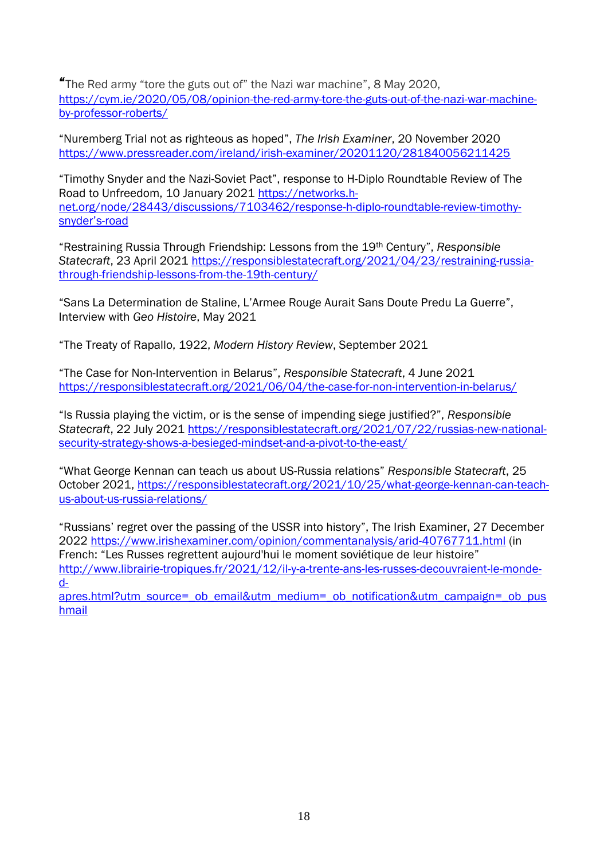"The Red army "tore the guts out of" the Nazi war machine", 8 May 2020, [https://cym.ie/2020/05/08/opinion-the-red-army-tore-the-guts-out-of-the-nazi-war-machine](https://cym.ie/2020/05/08/opinion-the-red-army-tore-the-guts-out-of-the-nazi-war-machine-by-professor-roberts/)[by-professor-roberts/](https://cym.ie/2020/05/08/opinion-the-red-army-tore-the-guts-out-of-the-nazi-war-machine-by-professor-roberts/)

"Nuremberg Trial not as righteous as hoped", *The Irish Examiner*, 20 November 2020 <https://www.pressreader.com/ireland/irish-examiner/20201120/281840056211425>

"Timothy Snyder and the Nazi-Soviet Pact", response to H-Diplo Roundtable Review of The Road to Unfreedom, 10 January 2021 [https://networks.h](https://networks.h-net.org/node/28443/discussions/7103462/response-h-diplo-roundtable-review-timothy-snyder’s-road)[net.org/node/28443/discussions/7103462/response-h-diplo-roundtable-review-timothy](https://networks.h-net.org/node/28443/discussions/7103462/response-h-diplo-roundtable-review-timothy-snyder’s-road)[snyder's](https://networks.h-net.org/node/28443/discussions/7103462/response-h-diplo-roundtable-review-timothy-snyder’s-road)-road

"Restraining Russia Through Friendship: Lessons from the 19th Century", *Responsible Statecraft*, 23 April 2021 [https://responsiblestatecraft.org/2021/04/23/restraining-russia](https://responsiblestatecraft.org/2021/04/23/restraining-russia-through-friendship-lessons-from-the-19th-century/)[through-friendship-lessons-from-the-19th-century/](https://responsiblestatecraft.org/2021/04/23/restraining-russia-through-friendship-lessons-from-the-19th-century/)

"Sans La Determination de Staline, L'Armee Rouge Aurait Sans Doute Predu La Guerre", Interview with *Geo Histoire*, May 2021

"The Treaty of Rapallo, 1922, *Modern History Review*, September 2021

"The Case for Non-Intervention in Belarus", *Responsible Statecraft*, 4 June 2021 <https://responsiblestatecraft.org/2021/06/04/the-case-for-non-intervention-in-belarus/>

"Is Russia playing the victim, or is the sense of impending siege justified?", *Responsible Statecraft*, 22 July 2021 [https://responsiblestatecraft.org/2021/07/22/russias-new-national](https://responsiblestatecraft.org/2021/07/22/russias-new-national-security-strategy-shows-a-besieged-mindset-and-a-pivot-to-the-east/)[security-strategy-shows-a-besieged-mindset-and-a-pivot-to-the-east/](https://responsiblestatecraft.org/2021/07/22/russias-new-national-security-strategy-shows-a-besieged-mindset-and-a-pivot-to-the-east/)

"What George Kennan can teach us about US-Russia relations" *Responsible Statecraft*, 25 October 2021, [https://responsiblestatecraft.org/2021/10/25/what-george-kennan-can-teach](https://responsiblestatecraft.org/2021/10/25/what-george-kennan-can-teach-us-about-us-russia-relations/)[us-about-us-russia-relations/](https://responsiblestatecraft.org/2021/10/25/what-george-kennan-can-teach-us-about-us-russia-relations/)

"Russians' regret over the passing of the USSR into history", The Irish Examiner, 27 December 2022<https://www.irishexaminer.com/opinion/commentanalysis/arid-40767711.html> (in French: "Les Russes regrettent aujourd'hui le moment soviétique de leur histoire" [http://www.librairie-tropiques.fr/2021/12/il-y-a-trente-ans-les-russes-decouvraient-le-monde](http://www.librairie-tropiques.fr/2021/12/il-y-a-trente-ans-les-russes-decouvraient-le-monde-d-apres.html?utm_source=_ob_email&utm_medium=_ob_notification&utm_campaign=_ob_pushmail)[d-](http://www.librairie-tropiques.fr/2021/12/il-y-a-trente-ans-les-russes-decouvraient-le-monde-d-apres.html?utm_source=_ob_email&utm_medium=_ob_notification&utm_campaign=_ob_pushmail)

[apres.html?utm\\_source=\\_ob\\_email&utm\\_medium=\\_ob\\_notification&utm\\_campaign=\\_ob\\_pus](http://www.librairie-tropiques.fr/2021/12/il-y-a-trente-ans-les-russes-decouvraient-le-monde-d-apres.html?utm_source=_ob_email&utm_medium=_ob_notification&utm_campaign=_ob_pushmail) [hmail](http://www.librairie-tropiques.fr/2021/12/il-y-a-trente-ans-les-russes-decouvraient-le-monde-d-apres.html?utm_source=_ob_email&utm_medium=_ob_notification&utm_campaign=_ob_pushmail)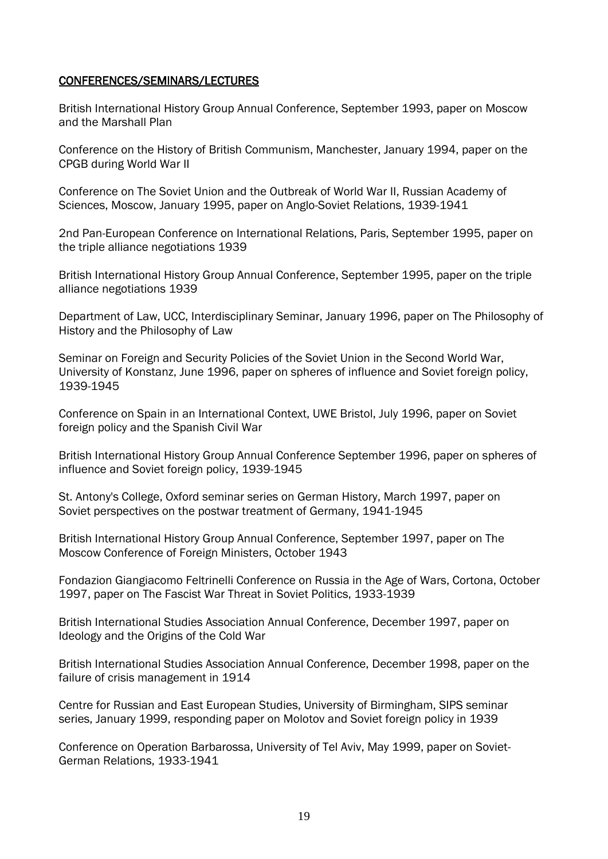#### CONFERENCES/SEMINARS/LECTURES

British International History Group Annual Conference, September 1993, paper on Moscow and the Marshall Plan

Conference on the History of British Communism, Manchester, January 1994, paper on the CPGB during World War II

Conference on The Soviet Union and the Outbreak of World War II, Russian Academy of Sciences, Moscow, January 1995, paper on Anglo-Soviet Relations, 1939-1941

2nd Pan-European Conference on International Relations, Paris, September 1995, paper on the triple alliance negotiations 1939

British International History Group Annual Conference, September 1995, paper on the triple alliance negotiations 1939

Department of Law, UCC, Interdisciplinary Seminar, January 1996, paper on The Philosophy of History and the Philosophy of Law

Seminar on Foreign and Security Policies of the Soviet Union in the Second World War, University of Konstanz, June 1996, paper on spheres of influence and Soviet foreign policy, 1939-1945

Conference on Spain in an International Context, UWE Bristol, July 1996, paper on Soviet foreign policy and the Spanish Civil War

British International History Group Annual Conference September 1996, paper on spheres of influence and Soviet foreign policy, 1939-1945

St. Antony's College, Oxford seminar series on German History, March 1997, paper on Soviet perspectives on the postwar treatment of Germany, 1941-1945

British International History Group Annual Conference, September 1997, paper on The Moscow Conference of Foreign Ministers, October 1943

Fondazion Giangiacomo Feltrinelli Conference on Russia in the Age of Wars, Cortona, October 1997, paper on The Fascist War Threat in Soviet Politics, 1933-1939

British International Studies Association Annual Conference, December 1997, paper on Ideology and the Origins of the Cold War

British International Studies Association Annual Conference, December 1998, paper on the failure of crisis management in 1914

Centre for Russian and East European Studies, University of Birmingham, SIPS seminar series, January 1999, responding paper on Molotov and Soviet foreign policy in 1939

Conference on Operation Barbarossa, University of Tel Aviv, May 1999, paper on Soviet-German Relations, 1933-1941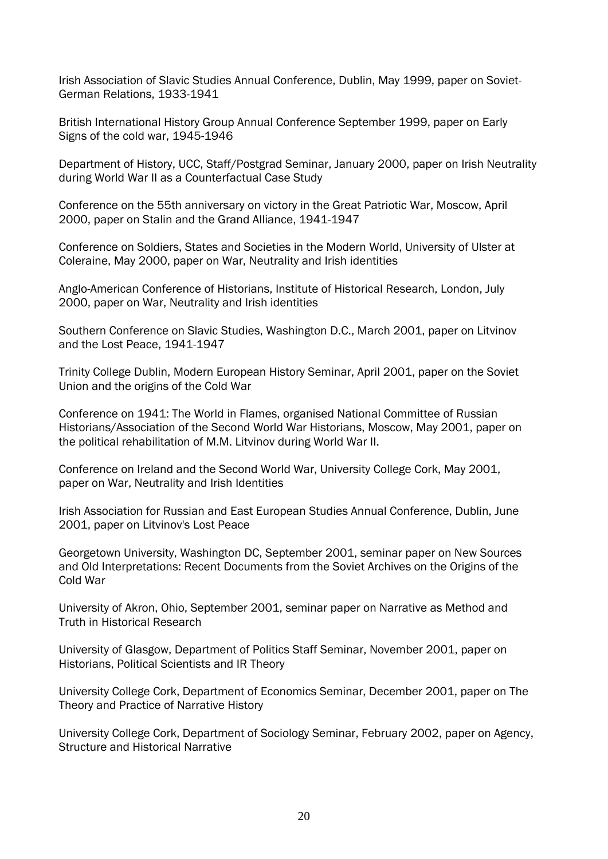Irish Association of Slavic Studies Annual Conference, Dublin, May 1999, paper on Soviet-German Relations, 1933-1941

British International History Group Annual Conference September 1999, paper on Early Signs of the cold war, 1945-1946

Department of History, UCC, Staff/Postgrad Seminar, January 2000, paper on Irish Neutrality during World War II as a Counterfactual Case Study

Conference on the 55th anniversary on victory in the Great Patriotic War, Moscow, April 2000, paper on Stalin and the Grand Alliance, 1941-1947

Conference on Soldiers, States and Societies in the Modern World, University of Ulster at Coleraine, May 2000, paper on War, Neutrality and Irish identities

Anglo-American Conference of Historians, Institute of Historical Research, London, July 2000, paper on War, Neutrality and Irish identities

Southern Conference on Slavic Studies, Washington D.C., March 2001, paper on Litvinov and the Lost Peace, 1941-1947

Trinity College Dublin, Modern European History Seminar, April 2001, paper on the Soviet Union and the origins of the Cold War

Conference on 1941: The World in Flames, organised National Committee of Russian Historians/Association of the Second World War Historians, Moscow, May 2001, paper on the political rehabilitation of M.M. Litvinov during World War II.

Conference on Ireland and the Second World War, University College Cork, May 2001, paper on War, Neutrality and Irish Identities

Irish Association for Russian and East European Studies Annual Conference, Dublin, June 2001, paper on Litvinov's Lost Peace

Georgetown University, Washington DC, September 2001, seminar paper on New Sources and Old Interpretations: Recent Documents from the Soviet Archives on the Origins of the Cold War

University of Akron, Ohio, September 2001, seminar paper on Narrative as Method and Truth in Historical Research

University of Glasgow, Department of Politics Staff Seminar, November 2001, paper on Historians, Political Scientists and IR Theory

University College Cork, Department of Economics Seminar, December 2001, paper on The Theory and Practice of Narrative History

University College Cork, Department of Sociology Seminar, February 2002, paper on Agency, Structure and Historical Narrative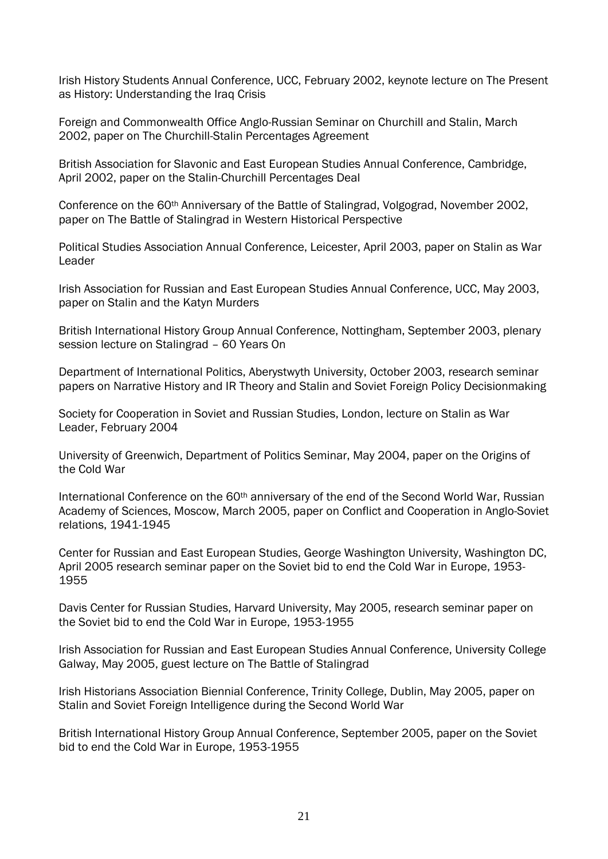Irish History Students Annual Conference, UCC, February 2002, keynote lecture on The Present as History: Understanding the Iraq Crisis

Foreign and Commonwealth Office Anglo-Russian Seminar on Churchill and Stalin, March 2002, paper on The Churchill-Stalin Percentages Agreement

British Association for Slavonic and East European Studies Annual Conference, Cambridge, April 2002, paper on the Stalin-Churchill Percentages Deal

Conference on the 60th Anniversary of the Battle of Stalingrad, Volgograd, November 2002, paper on The Battle of Stalingrad in Western Historical Perspective

Political Studies Association Annual Conference, Leicester, April 2003, paper on Stalin as War Leader

Irish Association for Russian and East European Studies Annual Conference, UCC, May 2003, paper on Stalin and the Katyn Murders

British International History Group Annual Conference, Nottingham, September 2003, plenary session lecture on Stalingrad – 60 Years On

Department of International Politics, Aberystwyth University, October 2003, research seminar papers on Narrative History and IR Theory and Stalin and Soviet Foreign Policy Decisionmaking

Society for Cooperation in Soviet and Russian Studies, London, lecture on Stalin as War Leader, February 2004

University of Greenwich, Department of Politics Seminar, May 2004, paper on the Origins of the Cold War

International Conference on the 60<sup>th</sup> anniversary of the end of the Second World War, Russian Academy of Sciences, Moscow, March 2005, paper on Conflict and Cooperation in Anglo-Soviet relations, 1941-1945

Center for Russian and East European Studies, George Washington University, Washington DC, April 2005 research seminar paper on the Soviet bid to end the Cold War in Europe, 1953- 1955

Davis Center for Russian Studies, Harvard University, May 2005, research seminar paper on the Soviet bid to end the Cold War in Europe, 1953-1955

Irish Association for Russian and East European Studies Annual Conference, University College Galway, May 2005, guest lecture on The Battle of Stalingrad

Irish Historians Association Biennial Conference, Trinity College, Dublin, May 2005, paper on Stalin and Soviet Foreign Intelligence during the Second World War

British International History Group Annual Conference, September 2005, paper on the Soviet bid to end the Cold War in Europe, 1953-1955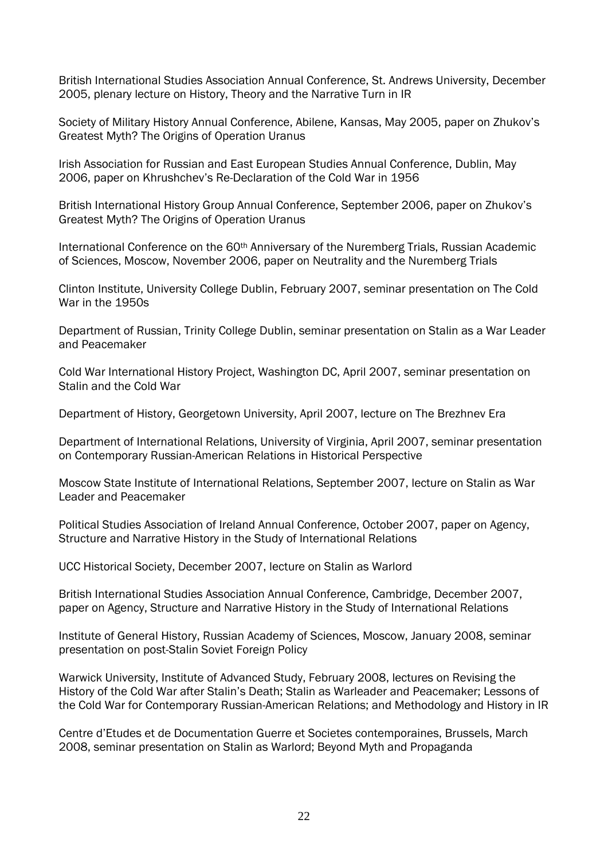British International Studies Association Annual Conference, St. Andrews University, December 2005, plenary lecture on History, Theory and the Narrative Turn in IR

Society of Military History Annual Conference, Abilene, Kansas, May 2005, paper on Zhukov's Greatest Myth? The Origins of Operation Uranus

Irish Association for Russian and East European Studies Annual Conference, Dublin, May 2006, paper on Khrushchev's Re-Declaration of the Cold War in 1956

British International History Group Annual Conference, September 2006, paper on Zhukov's Greatest Myth? The Origins of Operation Uranus

International Conference on the 60<sup>th</sup> Anniversary of the Nuremberg Trials, Russian Academic of Sciences, Moscow, November 2006, paper on Neutrality and the Nuremberg Trials

Clinton Institute, University College Dublin, February 2007, seminar presentation on The Cold War in the 1950s

Department of Russian, Trinity College Dublin, seminar presentation on Stalin as a War Leader and Peacemaker

Cold War International History Project, Washington DC, April 2007, seminar presentation on Stalin and the Cold War

Department of History, Georgetown University, April 2007, lecture on The Brezhnev Era

Department of International Relations, University of Virginia, April 2007, seminar presentation on Contemporary Russian-American Relations in Historical Perspective

Moscow State Institute of International Relations, September 2007, lecture on Stalin as War Leader and Peacemaker

Political Studies Association of Ireland Annual Conference, October 2007, paper on Agency, Structure and Narrative History in the Study of International Relations

UCC Historical Society, December 2007, lecture on Stalin as Warlord

British International Studies Association Annual Conference, Cambridge, December 2007, paper on Agency, Structure and Narrative History in the Study of International Relations

Institute of General History, Russian Academy of Sciences, Moscow, January 2008, seminar presentation on post-Stalin Soviet Foreign Policy

Warwick University, Institute of Advanced Study, February 2008, lectures on Revising the History of the Cold War after Stalin's Death; Stalin as Warleader and Peacemaker; Lessons of the Cold War for Contemporary Russian-American Relations; and Methodology and History in IR

Centre d'Etudes et de Documentation Guerre et Societes contemporaines, Brussels, March 2008, seminar presentation on Stalin as Warlord; Beyond Myth and Propaganda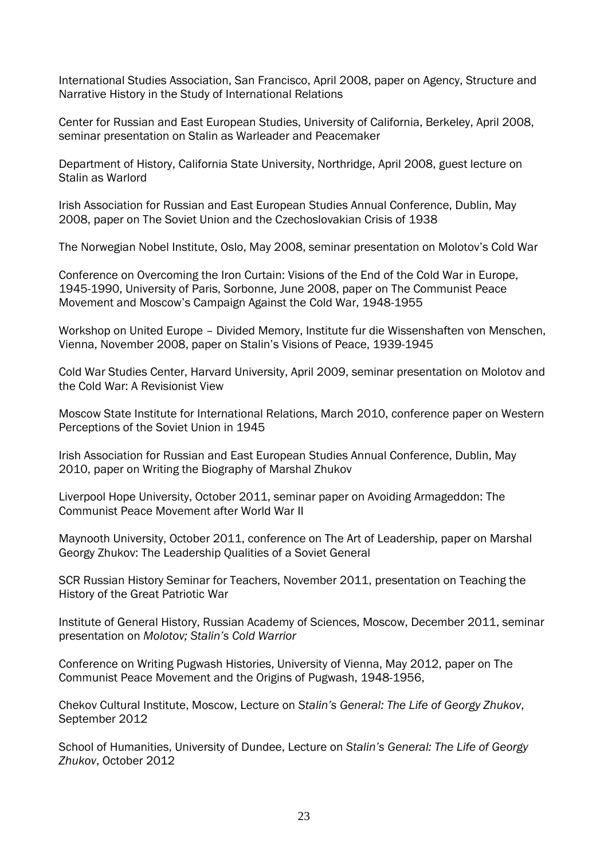International Studies Association, San Francisco, April 2008, paper on Agency, Structure and Narrative History in the Study of International Relations

Center for Russian and East European Studies, University of California, Berkeley, April 2008, seminar presentation on Stalin as Warleader and Peacemaker

Department of History, California State University, Northridge, April 2008, guest lecture on Stalin as Warlord

Irish Association for Russian and East European Studies Annual Conference, Dublin, May 2008, paper on The Soviet Union and the Czechoslovakian Crisis of 1938

The Norwegian Nobel Institute, Oslo, May 2008, seminar presentation on Molotov's Cold War

Conference on Overcoming the Iron Curtain: Visions of the End of the Cold War in Europe, 1945-1990, University of Paris, Sorbonne, June 2008, paper on The Communist Peace Movement and Moscow's Campaign Against the Cold War, 1948-1955

Workshop on United Europe – Divided Memory, Institute fur die Wissenshaften von Menschen, Vienna, November 2008, paper on Stalin's Visions of Peace, 1939-1945

Cold War Studies Center, Harvard University, April 2009, seminar presentation on Molotov and the Cold War: A Revisionist View

Moscow State Institute for International Relations, March 2010, conference paper on Western Perceptions of the Soviet Union in 1945

Irish Association for Russian and East European Studies Annual Conference, Dublin, May 2010, paper on Writing the Biography of Marshal Zhukov

Liverpool Hope University, October 2011, seminar paper on Avoiding Armageddon: The Communist Peace Movement after World War II

Maynooth University, October 2011, conference on The Art of Leadership, paper on Marshal Georgy Zhukov: The Leadership Qualities of a Soviet General

SCR Russian History Seminar for Teachers, November 2011, presentation on Teaching the History of the Great Patriotic War

Institute of General History, Russian Academy of Sciences, Moscow, December 2011, seminar presentation on *Molotov; Stalin's Cold Warrior*

Conference on Writing Pugwash Histories, University of Vienna, May 2012, paper on The Communist Peace Movement and the Origins of Pugwash, 1948-1956,

Chekov Cultural Institute, Moscow, Lecture on *Stalin's General: The Life of Georgy Zhukov*, September 2012

School of Humanities, University of Dundee, Lecture on *Stalin's General: The Life of Georgy Zhukov*, October 2012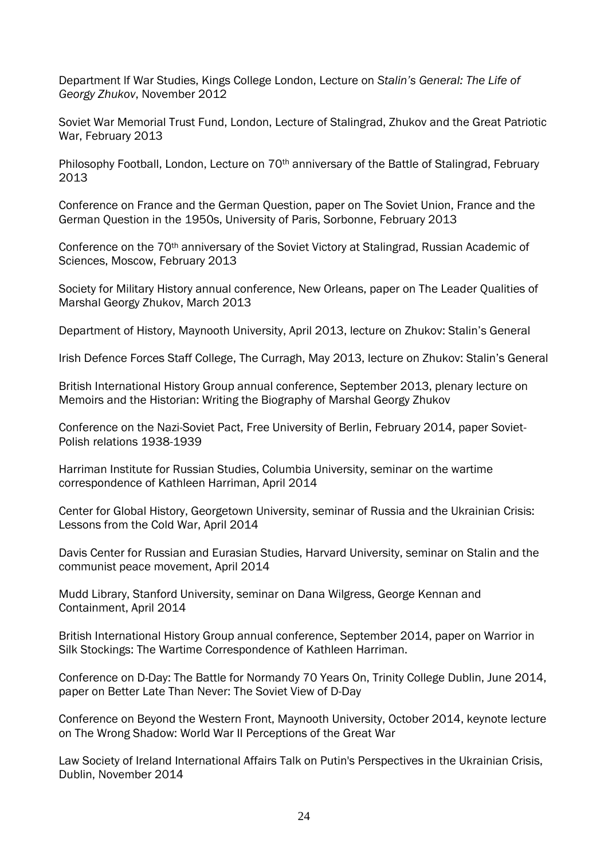Department lf War Studies, Kings College London, Lecture on *Stalin's General: The Life of Georgy Zhukov*, November 2012

Soviet War Memorial Trust Fund, London, Lecture of Stalingrad, Zhukov and the Great Patriotic War, February 2013

Philosophy Football, London, Lecture on 70<sup>th</sup> anniversary of the Battle of Stalingrad, February 2013

Conference on France and the German Question, paper on The Soviet Union, France and the German Question in the 1950s, University of Paris, Sorbonne, February 2013

Conference on the 70<sup>th</sup> anniversary of the Soviet Victory at Stalingrad, Russian Academic of Sciences, Moscow, February 2013

Society for Military History annual conference, New Orleans, paper on The Leader Qualities of Marshal Georgy Zhukov, March 2013

Department of History, Maynooth University, April 2013, lecture on Zhukov: Stalin's General

Irish Defence Forces Staff College, The Curragh, May 2013, lecture on Zhukov: Stalin's General

British International History Group annual conference, September 2013, plenary lecture on Memoirs and the Historian: Writing the Biography of Marshal Georgy Zhukov

Conference on the Nazi-Soviet Pact, Free University of Berlin, February 2014, paper Soviet-Polish relations 1938-1939

Harriman Institute for Russian Studies, Columbia University, seminar on the wartime correspondence of Kathleen Harriman, April 2014

Center for Global History, Georgetown University, seminar of Russia and the Ukrainian Crisis: Lessons from the Cold War, April 2014

Davis Center for Russian and Eurasian Studies, Harvard University, seminar on Stalin and the communist peace movement, April 2014

Mudd Library, Stanford University, seminar on Dana Wilgress, George Kennan and Containment, April 2014

British International History Group annual conference, September 2014, paper on Warrior in Silk Stockings: The Wartime Correspondence of Kathleen Harriman.

Conference on D-Day: The Battle for Normandy 70 Years On, Trinity College Dublin, June 2014, paper on Better Late Than Never: The Soviet View of D-Day

Conference on Beyond the Western Front, Maynooth University, October 2014, keynote lecture on The Wrong Shadow: World War II Perceptions of the Great War

Law Society of Ireland International Affairs Talk on Putin's Perspectives in the Ukrainian Crisis, Dublin, November 2014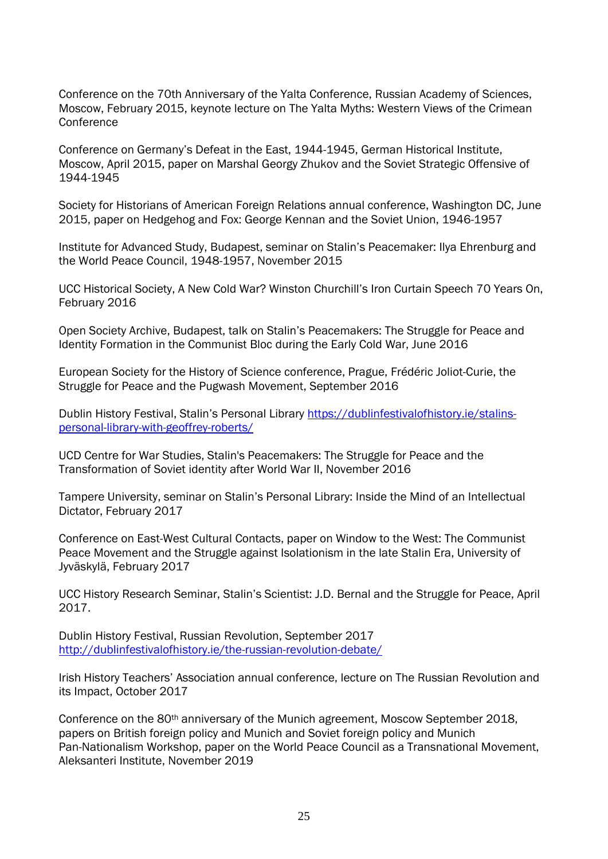Conference on the 70th Anniversary of the Yalta Conference, Russian Academy of Sciences, Moscow, February 2015, keynote lecture on The Yalta Myths: Western Views of the Crimean **Conference** 

Conference on Germany's Defeat in the East, 1944-1945, German Historical Institute, Moscow, April 2015, paper on Marshal Georgy Zhukov and the Soviet Strategic Offensive of 1944-1945

Society for Historians of American Foreign Relations annual conference, Washington DC, June 2015, paper on Hedgehog and Fox: George Kennan and the Soviet Union, 1946-1957

Institute for Advanced Study, Budapest, seminar on Stalin's Peacemaker: Ilya Ehrenburg and the World Peace Council, 1948-1957, November 2015

UCC Historical Society, A New Cold War? Winston Churchill's Iron Curtain Speech 70 Years On, February 2016

Open Society Archive, Budapest, talk on Stalin's Peacemakers: The Struggle for Peace and Identity Formation in the Communist Bloc during the Early Cold War, June 2016

European Society for the History of Science conference, Prague, Frédéric Joliot-Curie, the Struggle for Peace and the Pugwash Movement, September 2016

Dublin History Festival, Stalin's Personal Library [https://dublinfestivalofhistory.ie/stalins](https://dublinfestivalofhistory.ie/stalins-personal-library-with-geoffrey-roberts/)[personal-library-with-geoffrey-roberts/](https://dublinfestivalofhistory.ie/stalins-personal-library-with-geoffrey-roberts/)

UCD Centre for War Studies, Stalin's Peacemakers: The Struggle for Peace and the Transformation of Soviet identity after World War II, November 2016

Tampere University, seminar on Stalin's Personal Library: Inside the Mind of an Intellectual Dictator, February 2017

Conference on East-West Cultural Contacts, paper on Window to the West: The Communist Peace Movement and the Struggle against Isolationism in the late Stalin Era, University of Jyväskylä, February 2017

UCC History Research Seminar, Stalin's Scientist: J.D. Bernal and the Struggle for Peace, April 2017.

Dublin History Festival, Russian Revolution, September 2017 <http://dublinfestivalofhistory.ie/the-russian-revolution-debate/>

Irish History Teachers' Association annual conference, lecture on The Russian Revolution and its Impact, October 2017

Conference on the 80<sup>th</sup> anniversary of the Munich agreement, Moscow September 2018, papers on British foreign policy and Munich and Soviet foreign policy and Munich Pan-Nationalism Workshop, paper on the World Peace Council as a Transnational Movement, Aleksanteri Institute, November 2019